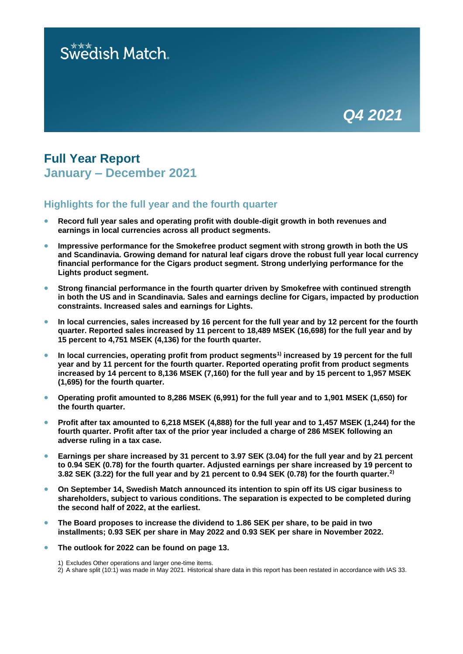# Swedish Match.



## **Full Year Report January – December 2021**

## **Highlights for the full year and the fourth quarter**

- **Record full year sales and operating profit with double-digit growth in both revenues and earnings in local currencies across all product segments.**
- **Impressive performance for the Smokefree product segment with strong growth in both the US and Scandinavia. Growing demand for natural leaf cigars drove the robust full year local currency financial performance for the Cigars product segment. Strong underlying performance for the Lights product segment.**
- **Strong financial performance in the fourth quarter driven by Smokefree with continued strength in both the US and in Scandinavia. Sales and earnings decline for Cigars, impacted by production constraints. Increased sales and earnings for Lights.**
- **In local currencies, sales increased by 16 percent for the full year and by 12 percent for the fourth quarter. Reported sales increased by 11 percent to 18,489 MSEK (16,698) for the full year and by 15 percent to 4,751 MSEK (4,136) for the fourth quarter.**
- **In local currencies, operating profit from product segments1) increased by 19 percent for the full year and by 11 percent for the fourth quarter. Reported operating profit from product segments increased by 14 percent to 8,136 MSEK (7,160) for the full year and by 15 percent to 1,957 MSEK (1,695) for the fourth quarter.**
- **Operating profit amounted to 8,286 MSEK (6,991) for the full year and to 1,901 MSEK (1,650) for the fourth quarter.**
- **Profit after tax amounted to 6,218 MSEK (4,888) for the full year and to 1,457 MSEK (1,244) for the fourth quarter. Profit after tax of the prior year included a charge of 286 MSEK following an adverse ruling in a tax case.**
- **Earnings per share increased by 31 percent to 3.97 SEK (3.04) for the full year and by 21 percent to 0.94 SEK (0.78) for the fourth quarter. Adjusted earnings per share increased by 19 percent to 3.82 SEK (3.22) for the full year and by 21 percent to 0.94 SEK (0.78) for the fourth quarter.2)**
- **On September 14, Swedish Match announced its intention to spin off its US cigar business to shareholders, subject to various conditions. The separation is expected to be completed during the second half of 2022, at the earliest.**
- **The Board proposes to increase the dividend to 1.86 SEK per share, to be paid in two installments; 0.93 SEK per share in May 2022 and 0.93 SEK per share in November 2022.**
- **The outlook for 2022 can be found on page 13.**

1) Excludes Other operations and larger one-time items.

<sup>2)</sup> A share split (10:1) was made in May 2021. Historical share data in this report has been restated in accordance with IAS 33.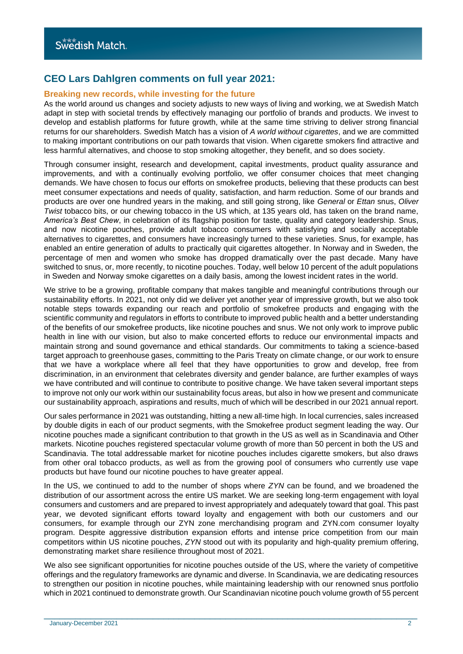## **CEO Lars Dahlgren comments on full year 2021:**

## **Breaking new records, while investing for the future**

As the world around us changes and society adjusts to new ways of living and working, we at Swedish Match adapt in step with societal trends by effectively managing our portfolio of brands and products. We invest to develop and establish platforms for future growth, while at the same time striving to deliver strong financial returns for our shareholders. Swedish Match has a vision of *A world without cigarettes*, and we are committed to making important contributions on our path towards that vision. When cigarette smokers find attractive and less harmful alternatives, and choose to stop smoking altogether, they benefit, and so does society.

Through consumer insight, research and development, capital investments, product quality assurance and improvements, and with a continually evolving portfolio, we offer consumer choices that meet changing demands. We have chosen to focus our efforts on smokefree products, believing that these products can best meet consumer expectations and needs of quality, satisfaction, and harm reduction. Some of our brands and products are over one hundred years in the making, and still going strong, like *General* or *Ettan* snus, *Oliver Twist* tobacco bits, or our chewing tobacco in the US which, at 135 years old, has taken on the brand name, *America's Best Chew*, in celebration of its flagship position for taste, quality and category leadership. Snus, and now nicotine pouches, provide adult tobacco consumers with satisfying and socially acceptable alternatives to cigarettes, and consumers have increasingly turned to these varieties. Snus, for example, has enabled an entire generation of adults to practically quit cigarettes altogether. In Norway and in Sweden, the percentage of men and women who smoke has dropped dramatically over the past decade. Many have switched to snus, or, more recently, to nicotine pouches. Today, well below 10 percent of the adult populations in Sweden and Norway smoke cigarettes on a daily basis, among the lowest incident rates in the world.

We strive to be a growing, profitable company that makes tangible and meaningful contributions through our sustainability efforts. In 2021, not only did we deliver yet another year of impressive growth, but we also took notable steps towards expanding our reach and portfolio of smokefree products and engaging with the scientific community and regulators in efforts to contribute to improved public health and a better understanding of the benefits of our smokefree products, like nicotine pouches and snus. We not only work to improve public health in line with our vision, but also to make concerted efforts to reduce our environmental impacts and maintain strong and sound governance and ethical standards. Our commitments to taking a science-based target approach to greenhouse gases, committing to the Paris Treaty on climate change, or our work to ensure that we have a workplace where all feel that they have opportunities to grow and develop, free from discrimination, in an environment that celebrates diversity and gender balance, are further examples of ways we have contributed and will continue to contribute to positive change. We have taken several important steps to improve not only our work within our sustainability focus areas, but also in how we present and communicate our sustainability approach, aspirations and results, much of which will be described in our 2021 annual report.

Our sales performance in 2021 was outstanding, hitting a new all-time high. In local currencies, sales increased by double digits in each of our product segments, with the Smokefree product segment leading the way. Our nicotine pouches made a significant contribution to that growth in the US as well as in Scandinavia and Other markets. Nicotine pouches registered spectacular volume growth of more than 50 percent in both the US and Scandinavia. The total addressable market for nicotine pouches includes cigarette smokers, but also draws from other oral tobacco products, as well as from the growing pool of consumers who currently use vape products but have found our nicotine pouches to have greater appeal.

In the US, we continued to add to the number of shops where *ZYN* can be found, and we broadened the distribution of our assortment across the entire US market. We are seeking long-term engagement with loyal consumers and customers and are prepared to invest appropriately and adequately toward that goal. This past year, we devoted significant efforts toward loyalty and engagement with both our customers and our consumers, for example through our ZYN zone merchandising program and ZYN.com consumer loyalty program. Despite aggressive distribution expansion efforts and intense price competition from our main competitors within US nicotine pouches, *ZYN* stood out with its popularity and high-quality premium offering, demonstrating market share resilience throughout most of 2021.

We also see significant opportunities for nicotine pouches outside of the US, where the variety of competitive offerings and the regulatory frameworks are dynamic and diverse. In Scandinavia, we are dedicating resources to strengthen our position in nicotine pouches, while maintaining leadership with our renowned snus portfolio which in 2021 continued to demonstrate growth. Our Scandinavian nicotine pouch volume growth of 55 percent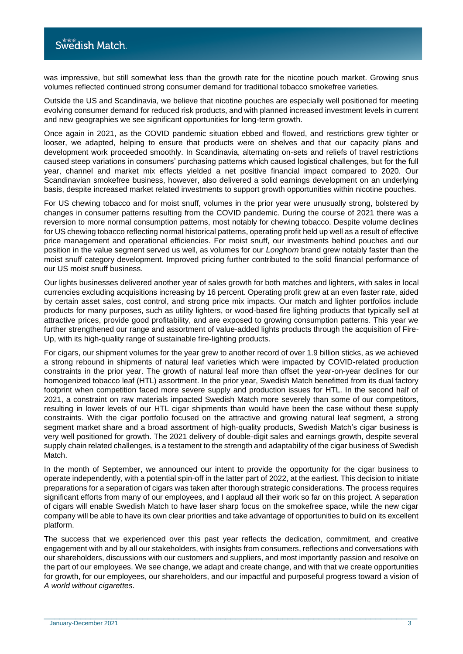was impressive, but still somewhat less than the growth rate for the nicotine pouch market. Growing snus volumes reflected continued strong consumer demand for traditional tobacco smokefree varieties.

Outside the US and Scandinavia, we believe that nicotine pouches are especially well positioned for meeting evolving consumer demand for reduced risk products, and with planned increased investment levels in current and new geographies we see significant opportunities for long-term growth.

Once again in 2021, as the COVID pandemic situation ebbed and flowed, and restrictions grew tighter or looser, we adapted, helping to ensure that products were on shelves and that our capacity plans and development work proceeded smoothly. In Scandinavia, alternating on-sets and reliefs of travel restrictions caused steep variations in consumers' purchasing patterns which caused logistical challenges, but for the full year, channel and market mix effects yielded a net positive financial impact compared to 2020. Our Scandinavian smokefree business, however, also delivered a solid earnings development on an underlying basis, despite increased market related investments to support growth opportunities within nicotine pouches.

For US chewing tobacco and for moist snuff, volumes in the prior year were unusually strong, bolstered by changes in consumer patterns resulting from the COVID pandemic. During the course of 2021 there was a reversion to more normal consumption patterns, most notably for chewing tobacco. Despite volume declines for US chewing tobacco reflecting normal historical patterns, operating profit held up well as a result of effective price management and operational efficiencies. For moist snuff, our investments behind pouches and our position in the value segment served us well, as volumes for our *Longhorn* brand grew notably faster than the moist snuff category development. Improved pricing further contributed to the solid financial performance of our US moist snuff business.

Our lights businesses delivered another year of sales growth for both matches and lighters, with sales in local currencies excluding acquisitions increasing by 16 percent. Operating profit grew at an even faster rate, aided by certain asset sales, cost control, and strong price mix impacts. Our match and lighter portfolios include products for many purposes, such as utility lighters, or wood-based fire lighting products that typically sell at attractive prices, provide good profitability, and are exposed to growing consumption patterns. This year we further strengthened our range and assortment of value-added lights products through the acquisition of Fire-Up, with its high-quality range of sustainable fire-lighting products.

For cigars, our shipment volumes for the year grew to another record of over 1.9 billion sticks, as we achieved a strong rebound in shipments of natural leaf varieties which were impacted by COVID-related production constraints in the prior year. The growth of natural leaf more than offset the year-on-year declines for our homogenized tobacco leaf (HTL) assortment. In the prior year, Swedish Match benefitted from its dual factory footprint when competition faced more severe supply and production issues for HTL. In the second half of 2021, a constraint on raw materials impacted Swedish Match more severely than some of our competitors, resulting in lower levels of our HTL cigar shipments than would have been the case without these supply constraints. With the cigar portfolio focused on the attractive and growing natural leaf segment, a strong segment market share and a broad assortment of high-quality products, Swedish Match's cigar business is very well positioned for growth. The 2021 delivery of double-digit sales and earnings growth, despite several supply chain related challenges, is a testament to the strength and adaptability of the cigar business of Swedish Match.

In the month of September, we announced our intent to provide the opportunity for the cigar business to operate independently, with a potential spin-off in the latter part of 2022, at the earliest. This decision to initiate preparations for a separation of cigars was taken after thorough strategic considerations. The process requires significant efforts from many of our employees, and I applaud all their work so far on this project. A separation of cigars will enable Swedish Match to have laser sharp focus on the smokefree space, while the new cigar company will be able to have its own clear priorities and take advantage of opportunities to build on its excellent platform.

The success that we experienced over this past year reflects the dedication, commitment, and creative engagement with and by all our stakeholders, with insights from consumers, reflections and conversations with our shareholders, discussions with our customers and suppliers, and most importantly passion and resolve on the part of our employees. We see change, we adapt and create change, and with that we create opportunities for growth, for our employees, our shareholders, and our impactful and purposeful progress toward a vision of *A world without cigarettes*.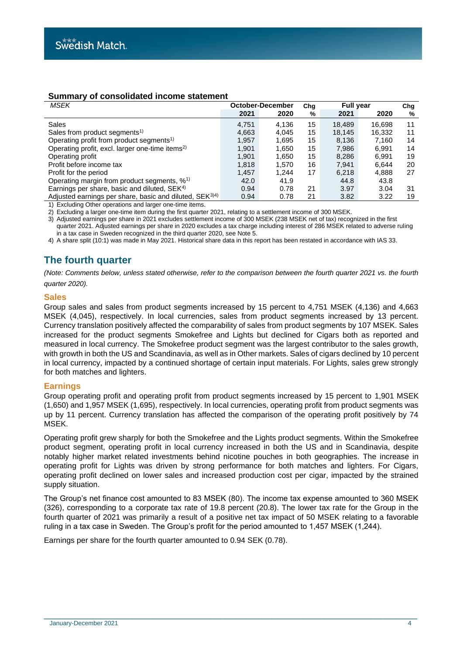## **Summary of consolidated income statement**

| MSEK                                                                | October-December |       | Cha | <b>Full year</b> |        | Cha |
|---------------------------------------------------------------------|------------------|-------|-----|------------------|--------|-----|
|                                                                     | 2021             | 2020  | %   | 2021             | 2020   | %   |
| Sales                                                               | 4.751            | 4.136 | 15  | 18.489           | 16.698 | 11  |
| Sales from product segments <sup>1)</sup>                           | 4,663            | 4.045 | 15  | 18.145           | 16,332 | 11  |
| Operating profit from product segments <sup>1)</sup>                | 1.957            | 1.695 | 15  | 8,136            | 7.160  | 14  |
| Operating profit, excl. larger one-time items <sup>2)</sup>         | 1.901            | 1.650 | 15  | 7.986            | 6.991  | 14  |
| Operating profit                                                    | 1.901            | 1,650 | 15  | 8,286            | 6.991  | 19  |
| Profit before income tax                                            | 1.818            | 1.570 | 16  | 7.941            | 6.644  | 20  |
| Profit for the period                                               | 1.457            | 1.244 | 17  | 6.218            | 4.888  | 27  |
| Operating margin from product segments, % <sup>1)</sup>             | 42.0             | 41.9  |     | 44.8             | 43.8   |     |
| Earnings per share, basic and diluted, SEK <sup>4)</sup>            | 0.94             | 0.78  | 21  | 3.97             | 3.04   | 31  |
| Adjusted earnings per share, basic and diluted, SEK <sup>3)4)</sup> | 0.94             | 0.78  | 21  | 3.82             | 3.22   | 19  |

1) Excluding Other operations and larger one-time items.

2) Excluding a larger one-time item during the first quarter 2021, relating to a settlement income of 300 MSEK.

3) Adjusted earnings per share in 2021 excludes settlement income of 300 MSEK (238 MSEK net of tax) recognized in the first quarter 2021. Adjusted earnings per share in 2020 excludes a tax charge including interest of 286 MSEK related to adverse ruling in a tax case in Sweden recognized in the third quarter 2020, see Note 5.

4) A share split (10:1) was made in May 2021. Historical share data in this report has been restated in accordance with IAS 33.

## **The fourth quarter**

*(Note: Comments below, unless stated otherwise, refer to the comparison between the fourth quarter 2021 vs. the fourth quarter 2020).*

## **Sales**

Group sales and sales from product segments increased by 15 percent to 4,751 MSEK (4,136) and 4,663 MSEK (4,045), respectively. In local currencies, sales from product segments increased by 13 percent. Currency translation positively affected the comparability of sales from product segments by 107 MSEK. Sales increased for the product segments Smokefree and Lights but declined for Cigars both as reported and measured in local currency. The Smokefree product segment was the largest contributor to the sales growth, with growth in both the US and Scandinavia, as well as in Other markets. Sales of cigars declined by 10 percent in local currency, impacted by a continued shortage of certain input materials. For Lights, sales grew strongly for both matches and lighters.

## **Earnings**

Group operating profit and operating profit from product segments increased by 15 percent to 1,901 MSEK (1,650) and 1,957 MSEK (1,695), respectively. In local currencies, operating profit from product segments was up by 11 percent. Currency translation has affected the comparison of the operating profit positively by 74 MSEK.

Operating profit grew sharply for both the Smokefree and the Lights product segments. Within the Smokefree product segment, operating profit in local currency increased in both the US and in Scandinavia, despite notably higher market related investments behind nicotine pouches in both geographies. The increase in operating profit for Lights was driven by strong performance for both matches and lighters. For Cigars, operating profit declined on lower sales and increased production cost per cigar, impacted by the strained supply situation.

The Group's net finance cost amounted to 83 MSEK (80). The income tax expense amounted to 360 MSEK (326), corresponding to a corporate tax rate of 19.8 percent (20.8). The lower tax rate for the Group in the fourth quarter of 2021 was primarily a result of a positive net tax impact of 50 MSEK relating to a favorable ruling in a tax case in Sweden. The Group's profit for the period amounted to 1,457 MSEK (1,244).

Earnings per share for the fourth quarter amounted to 0.94 SEK (0.78).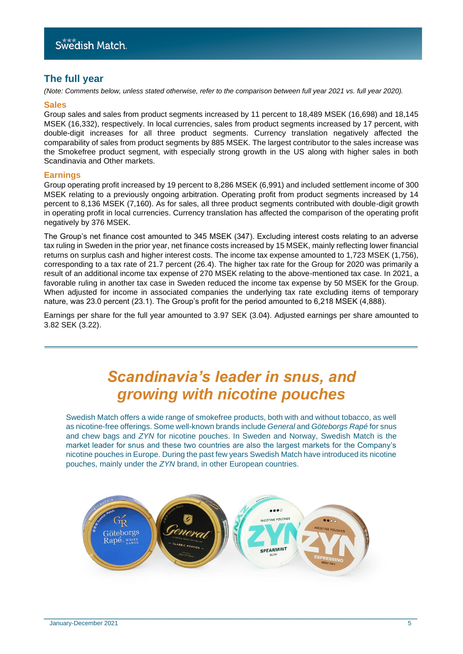## **The full year**

*(Note: Comments below, unless stated otherwise, refer to the comparison between full year 2021 vs. full year 2020).*

#### **Sales**

Group sales and sales from product segments increased by 11 percent to 18,489 MSEK (16,698) and 18,145 MSEK (16,332), respectively. In local currencies, sales from product segments increased by 17 percent, with double-digit increases for all three product segments. Currency translation negatively affected the comparability of sales from product segments by 885 MSEK. The largest contributor to the sales increase was the Smokefree product segment, with especially strong growth in the US along with higher sales in both Scandinavia and Other markets.

## **Earnings**

Group operating profit increased by 19 percent to 8,286 MSEK (6,991) and included settlement income of 300 MSEK relating to a previously ongoing arbitration. Operating profit from product segments increased by 14 percent to 8,136 MSEK (7,160). As for sales, all three product segments contributed with double-digit growth in operating profit in local currencies. Currency translation has affected the comparison of the operating profit negatively by 376 MSEK.

The Group's net finance cost amounted to 345 MSEK (347). Excluding interest costs relating to an adverse tax ruling in Sweden in the prior year, net finance costs increased by 15 MSEK, mainly reflecting lower financial returns on surplus cash and higher interest costs. The income tax expense amounted to 1,723 MSEK (1,756), corresponding to a tax rate of 21.7 percent (26.4). The higher tax rate for the Group for 2020 was primarily a result of an additional income tax expense of 270 MSEK relating to the above-mentioned tax case. In 2021, a favorable ruling in another tax case in Sweden reduced the income tax expense by 50 MSEK for the Group. When adjusted for income in associated companies the underlying tax rate excluding items of temporary nature, was 23.0 percent (23.1). The Group's profit for the period amounted to 6,218 MSEK (4,888).

Earnings per share for the full year amounted to 3.97 SEK (3.04). Adjusted earnings per share amounted to 3.82 SEK (3.22).

## *Scandinavia's leader in snus, and growing with nicotine pouches*

Swedish Match offers a wide range of smokefree products, both with and without tobacco, as well as nicotine-free offerings. Some well-known brands include *General* and *Göteborgs Rapé* for snus and chew bags and *ZYN* for nicotine pouches. In Sweden and Norway, Swedish Match is the market leader for snus and these two countries are also the largest markets for the Company's nicotine pouches in Europe. During the past few years Swedish Match have introduced its nicotine pouches, mainly under the *ZYN* brand, in other European countries.

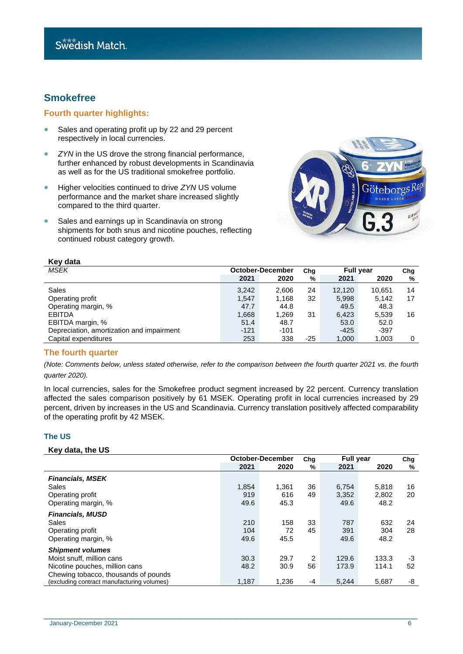## **Smokefree**

## **Fourth quarter highlights:**

- Sales and operating profit up by 22 and 29 percent respectively in local currencies.
- *ZYN* in the US drove the strong financial performance, further enhanced by robust developments in Scandinavia as well as for the US traditional smokefree portfolio.
- Higher velocities continued to drive *ZYN* US volume performance and the market share increased slightly compared to the third quarter.
- Sales and earnings up in Scandinavia on strong shipments for both snus and nicotine pouches, reflecting continued robust category growth.



| <b>INGY MALA</b>                          |        |                  |     |                  |        |     |
|-------------------------------------------|--------|------------------|-----|------------------|--------|-----|
| MSEK                                      |        | October-December | Cha | <b>Full year</b> |        | Cha |
|                                           | 2021   | 2020             | %   | 2021             | 2020   | %   |
| Sales                                     | 3,242  | 2,606            | 24  | 12.120           | 10.651 | 14  |
| Operating profit                          | 1.547  | 1.168            | 32  | 5,998            | 5.142  | 17  |
| Operating margin, %                       | 47.7   | 44.8             |     | 49.5             | 48.3   |     |
| <b>EBITDA</b>                             | 1,668  | 1,269            | 31  | 6,423            | 5,539  | 16  |
| EBITDA margin, %                          | 51.4   | 48.7             |     | 53.0             | 52.0   |     |
| Depreciation, amortization and impairment | $-121$ | $-101$           |     | $-425$           | -397   |     |
| Capital expenditures                      | 253    | 338              | -25 | 1,000            | 1,003  | 0   |

## **The fourth quarter**

**Key data**

*(Note: Comments below, unless stated otherwise, refer to the comparison between the fourth quarter 2021 vs. the fourth quarter 2020).*

In local currencies, sales for the Smokefree product segment increased by 22 percent. Currency translation affected the sales comparison positively by 61 MSEK. Operating profit in local currencies increased by 29 percent, driven by increases in the US and Scandinavia. Currency translation positively affected comparability of the operating profit by 42 MSEK.

#### **The US**

#### **Key data, the US**

|                                            |       | <b>October-December</b> | Chg | <b>Full year</b> |       | Chg |
|--------------------------------------------|-------|-------------------------|-----|------------------|-------|-----|
|                                            | 2021  | 2020                    | %   | 2021             | 2020  | %   |
| <b>Financials, MSEK</b>                    |       |                         |     |                  |       |     |
| Sales                                      | 1,854 | 1,361                   | 36  | 6,754            | 5,818 | 16  |
| Operating profit                           | 919   | 616                     | 49  | 3,352            | 2.802 | 20  |
| Operating margin, %                        | 49.6  | 45.3                    |     | 49.6             | 48.2  |     |
| <b>Financials, MUSD</b>                    |       |                         |     |                  |       |     |
| Sales                                      | 210   | 158                     | 33  | 787              | 632   | 24  |
| Operating profit                           | 104   | 72                      | 45  | 391              | 304   | 28  |
| Operating margin, %                        | 49.6  | 45.5                    |     | 49.6             | 48.2  |     |
| <b>Shipment volumes</b>                    |       |                         |     |                  |       |     |
| Moist snuff, million cans                  | 30.3  | 29.7                    | 2   | 129.6            | 133.3 | -3  |
| Nicotine pouches, million cans             | 48.2  | 30.9                    | 56  | 173.9            | 114.1 | 52  |
| Chewing tobacco, thousands of pounds       |       |                         |     |                  |       |     |
| (excluding contract manufacturing volumes) | 1,187 | 1.236                   | -4  | 5.244            | 5.687 | -8  |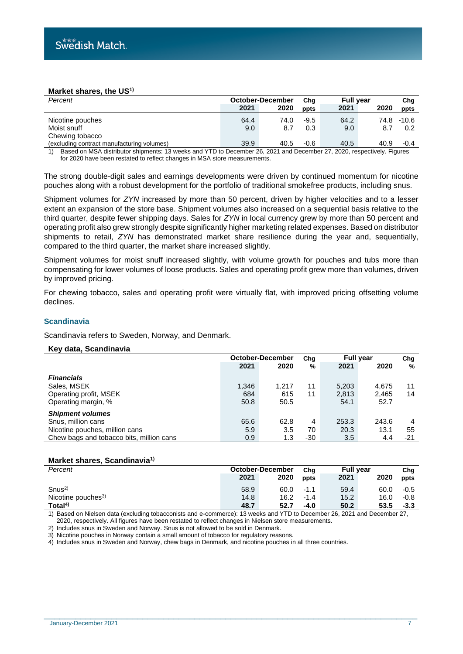#### **Market shares, the US1)**

| Percent                                    |      | October-December | Cha    | <b>Full year</b> |      | Cha     |
|--------------------------------------------|------|------------------|--------|------------------|------|---------|
|                                            | 2021 | 2020             | ppts   | 2021             | 2020 | ppts    |
| Nicotine pouches                           | 64.4 | 74.0             | $-9.5$ | 64.2             | 74.8 | $-10.6$ |
| Moist snuff<br>Chewing tobacco             | 9.0  | 8.7              | 0.3    | 9.0              | 8.7  | 0.2     |
| (excluding contract manufacturing volumes) | 39.9 | 40.5             | $-0.6$ | 40.5             | 40.9 | $-0.4$  |

1) Based on MSA distributor shipments: 13 weeks and YTD to December 26, 2021 and December 27, 2020, respectively. Figures for 2020 have been restated to reflect changes in MSA store measurements.

The strong double-digit sales and earnings developments were driven by continued momentum for nicotine pouches along with a robust development for the portfolio of traditional smokefree products, including snus.

Shipment volumes for *ZYN* increased by more than 50 percent, driven by higher velocities and to a lesser extent an expansion of the store base. Shipment volumes also increased on a sequential basis relative to the third quarter, despite fewer shipping days. Sales for *ZYN* in local currency grew by more than 50 percent and operating profit also grew strongly despite significantly higher marketing related expenses. Based on distributor shipments to retail, *ZYN* has demonstrated market share resilience during the year and, sequentially, compared to the third quarter, the market share increased slightly.

Shipment volumes for moist snuff increased slightly, with volume growth for pouches and tubs more than compensating for lower volumes of loose products. Sales and operating profit grew more than volumes, driven by improved pricing.

For chewing tobacco, sales and operating profit were virtually flat, with improved pricing offsetting volume declines.

#### **Scandinavia**

Scandinavia refers to Sweden, Norway, and Denmark.

#### **Key data, Scandinavia**

|                                          | October-December |       | Chg | <b>Full year</b> |       | Chg   |
|------------------------------------------|------------------|-------|-----|------------------|-------|-------|
|                                          | 2021             | 2020  | %   | 2021             | 2020  | %     |
| <b>Financials</b>                        |                  |       |     |                  |       |       |
| Sales, MSEK                              | 1,346            | 1.217 | 11  | 5,203            | 4.675 | 11    |
| Operating profit, MSEK                   | 684              | 615   | 11  | 2,813            | 2.465 | 14    |
| Operating margin, %                      | 50.8             | 50.5  |     | 54.1             | 52.7  |       |
| <b>Shipment volumes</b>                  |                  |       |     |                  |       |       |
| Snus, million cans                       | 65.6             | 62.8  | 4   | 253.3            | 243.6 | 4     |
| Nicotine pouches, million cans           | 5.9              | 3.5   | 70  | 20.3             | 13.1  | 55    |
| Chew bags and tobacco bits, million cans | 0.9              | 1.3   | -30 | 3.5              | 4.4   | $-21$ |

#### **Market shares, Scandinavia1)**

| Percent                        | October-December |      | Cha    | <b>Full vear</b> |      | Chg    |
|--------------------------------|------------------|------|--------|------------------|------|--------|
|                                | 2021             | 2020 | ppts   | 2021             | 2020 | ppts   |
| Snus <sup>2</sup>              | 58.9             | 60.0 | -1.1   | 59.4             | 60.0 | $-0.5$ |
| Nicotine pouches <sup>3)</sup> | 14.8             | 16.2 | $-1.4$ | 15.2             | 16.0 | -0.8   |
| Total <sup>4)</sup>            | 48.7             | 52.7 | $-4.0$ | 50.2             | 53.5 | $-3.3$ |

1) Based on Nielsen data (excluding tobacconists and e-commerce): 13 weeks and YTD to December 26, 2021 and December 27, 2020, respectively. All figures have been restated to reflect changes in Nielsen store measurements.

\_\_\_\_\_\_\_\_\_\_\_\_\_\_\_\_\_\_\_\_\_\_\_\_\_\_\_\_\_\_\_\_\_\_\_\_\_\_\_\_\_\_\_\_\_\_\_\_\_\_\_\_\_\_\_\_\_\_\_\_\_\_\_\_\_\_\_\_\_\_\_\_

2) Includes snus in Sweden and Norway. Snus is not allowed to be sold in Denmark.

3) Nicotine pouches in Norway contain a small amount of tobacco for regulatory reasons.

4) Includes snus in Sweden and Norway, chew bags in Denmark, and nicotine pouches in all three countries.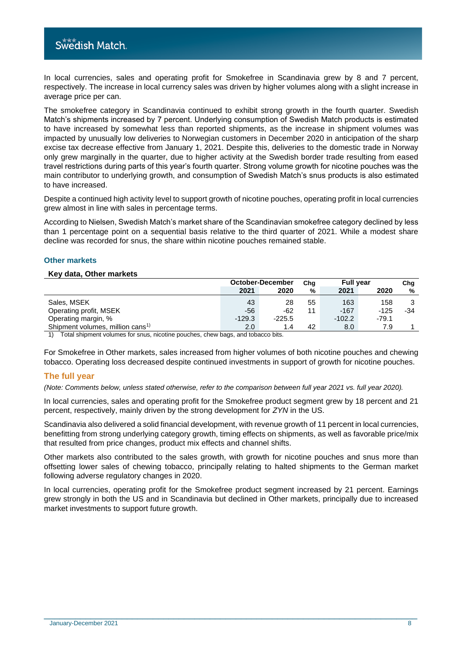In local currencies, sales and operating profit for Smokefree in Scandinavia grew by 8 and 7 percent, respectively. The increase in local currency sales was driven by higher volumes along with a slight increase in average price per can.

The smokefree category in Scandinavia continued to exhibit strong growth in the fourth quarter. Swedish Match's shipments increased by 7 percent. Underlying consumption of Swedish Match products is estimated to have increased by somewhat less than reported shipments, as the increase in shipment volumes was impacted by unusually low deliveries to Norwegian customers in December 2020 in anticipation of the sharp excise tax decrease effective from January 1, 2021. Despite this, deliveries to the domestic trade in Norway only grew marginally in the quarter, due to higher activity at the Swedish border trade resulting from eased travel restrictions during parts of this year's fourth quarter. Strong volume growth for nicotine pouches was the main contributor to underlying growth, and consumption of Swedish Match's snus products is also estimated to have increased.

Despite a continued high activity level to support growth of nicotine pouches, operating profit in local currencies grew almost in line with sales in percentage terms.

According to Nielsen, Swedish Match's market share of the Scandinavian smokefree category declined by less than 1 percentage point on a sequential basis relative to the third quarter of 2021. While a modest share decline was recorded for snus, the share within nicotine pouches remained stable.

## **Other markets**

#### **Key data, Other markets**

|                                              | October-December |          | Cha | <b>Full year</b> |         | Cha |
|----------------------------------------------|------------------|----------|-----|------------------|---------|-----|
|                                              | 2021             | 2020     | %   | 2021             | 2020    | %   |
| Sales, MSEK                                  | 43               | 28       | 55  | 163              | 158     |     |
| Operating profit, MSEK                       | -56              | -62      | 11  | $-167$           | $-125$  | -34 |
| Operating margin, %                          | $-129.3$         | $-225.5$ |     | $-102.2$         | $-79.1$ |     |
| Shipment volumes, million cans <sup>1)</sup> | 2.0              | 1.4      | 42  | 8.0              | 7.9     |     |

1) Total shipment volumes for snus, nicotine pouches, chew bags, and tobacco bits.

For Smokefree in Other markets, sales increased from higher volumes of both nicotine pouches and chewing tobacco. Operating loss decreased despite continued investments in support of growth for nicotine pouches.

## **The full year**

*(Note: Comments below, unless stated otherwise, refer to the comparison between full year 2021 vs. full year 2020).*

In local currencies, sales and operating profit for the Smokefree product segment grew by 18 percent and 21 percent, respectively, mainly driven by the strong development for *ZYN* in the US.

Scandinavia also delivered a solid financial development, with revenue growth of 11 percent in local currencies, benefitting from strong underlying category growth, timing effects on shipments, as well as favorable price/mix that resulted from price changes, product mix effects and channel shifts.

Other markets also contributed to the sales growth, with growth for nicotine pouches and snus more than offsetting lower sales of chewing tobacco, principally relating to halted shipments to the German market following adverse regulatory changes in 2020.

In local currencies, operating profit for the Smokefree product segment increased by 21 percent. Earnings grew strongly in both the US and in Scandinavia but declined in Other markets, principally due to increased market investments to support future growth.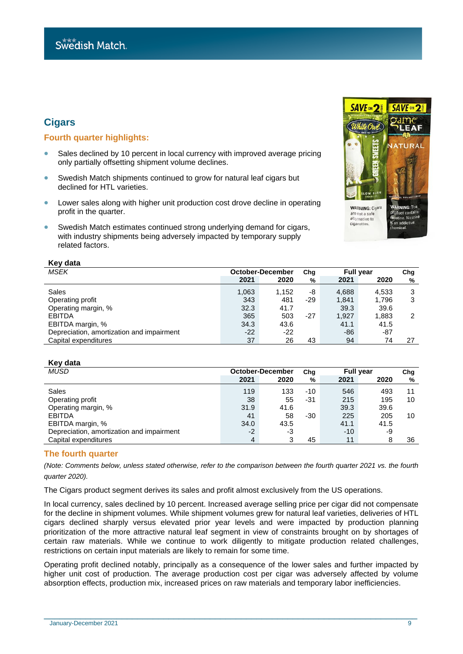## **Cigars**

## **Fourth quarter highlights:**

- Sales declined by 10 percent in local currency with improved average pricing only partially offsetting shipment volume declines.
- Swedish Match shipments continued to grow for natural leaf cigars but declined for HTL varieties.
- Lower sales along with higher unit production cost drove decline in operating profit in the quarter.
- Swedish Match estimates continued strong underlying demand for cigars, with industry shipments being adversely impacted by temporary supply related factors.



| MSEK                                      | <b>October-December</b> |       | Cha   | <b>Full year</b> |       | ${\sf Chg}$ |  |
|-------------------------------------------|-------------------------|-------|-------|------------------|-------|-------------|--|
|                                           | 2021                    | 2020  | %     | 2021             | 2020  | ℀           |  |
| <b>Sales</b>                              | 1,063                   | 1.152 | -8    | 4,688            | 4,533 | 3           |  |
| Operating profit                          | 343                     | 481   | $-29$ | 1,841            | 1,796 | 3           |  |
| Operating margin, %                       | 32.3                    | 41.7  |       | 39.3             | 39.6  |             |  |
| <b>EBITDA</b>                             | 365                     | 503   | -27   | 1.927            | 1,883 | 2           |  |
| EBITDA margin, %                          | 34.3                    | 43.6  |       | 41.1             | 41.5  |             |  |
| Depreciation, amortization and impairment | $-22$                   | $-22$ |       | -86              | -87   |             |  |
| Capital expenditures                      | 37                      | 26    | 43    | 94               | 74    | 27          |  |

#### **Key data**

**Key data**

| <b>MUSD</b>                               | October-December |      | Cha   | <b>Full year</b> |      | Chg |
|-------------------------------------------|------------------|------|-------|------------------|------|-----|
|                                           | 2021             | 2020 | %     | 2021             | 2020 | %   |
| Sales                                     | 119              | 133  | $-10$ | 546              | 493  | 11  |
| Operating profit                          | 38               | 55   | -31   | 215              | 195  | 10  |
| Operating margin, %                       | 31.9             | 41.6 |       | 39.3             | 39.6 |     |
| <b>EBITDA</b>                             | 41               | 58   | -30   | 225              | 205  | 10  |
| EBITDA margin, %                          | 34.0             | 43.5 |       | 41.1             | 41.5 |     |
| Depreciation, amortization and impairment | $-2$             | -3   |       | $-10$            | -9   |     |
| Capital expenditures                      | 4                | 3    | 45    | 11               | 8    | 36  |

## **The fourth quarter**

*(Note: Comments below, unless stated otherwise, refer to the comparison between the fourth quarter 2021 vs. the fourth quarter 2020).*

The Cigars product segment derives its sales and profit almost exclusively from the US operations.

In local currency, sales declined by 10 percent. Increased average selling price per cigar did not compensate for the decline in shipment volumes. While shipment volumes grew for natural leaf varieties, deliveries of HTL cigars declined sharply versus elevated prior year levels and were impacted by production planning prioritization of the more attractive natural leaf segment in view of constraints brought on by shortages of certain raw materials. While we continue to work diligently to mitigate production related challenges, restrictions on certain input materials are likely to remain for some time.

Operating profit declined notably, principally as a consequence of the lower sales and further impacted by higher unit cost of production. The average production cost per cigar was adversely affected by volume absorption effects, production mix, increased prices on raw materials and temporary labor inefficiencies.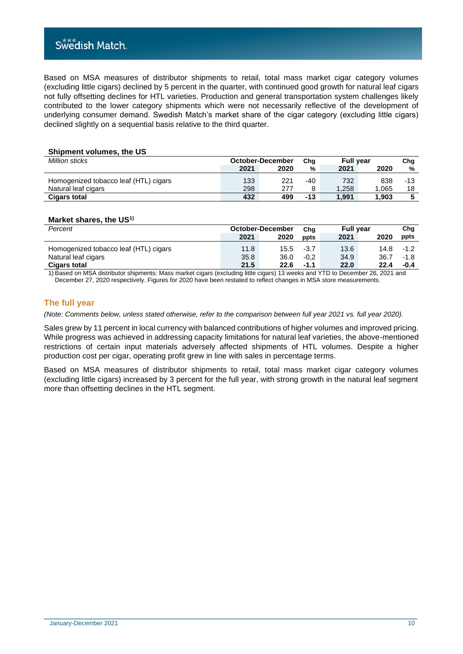## Swedish Match.

Based on MSA measures of distributor shipments to retail, total mass market cigar category volumes (excluding little cigars) declined by 5 percent in the quarter, with continued good growth for natural leaf cigars not fully offsetting declines for HTL varieties. Production and general transportation system challenges likely contributed to the lower category shipments which were not necessarily reflective of the development of underlying consumer demand. Swedish Match's market share of the cigar category (excluding little cigars) declined slightly on a sequential basis relative to the third quarter.

#### **Shipment volumes, the US**

| Million sticks                        | October-December |      | Cha   | <b>Full vear</b> |                | Chg |
|---------------------------------------|------------------|------|-------|------------------|----------------|-----|
|                                       | 2021             | 2020 | %     | 2021             | 2020           | %   |
| Homogenized tobacco leaf (HTL) cigars | 133              | 221  | -40   | 732              | 838            | -13 |
| Natural leaf cigars                   | 298              | 277  | 8     | 1.258            | $^{\circ}.065$ | 18  |
| <b>Cigars total</b>                   | 432              | 499  | $-13$ | 1.991            | 1.903          |     |

#### **Market shares, the US1)**

| Percent                               | October-December |      | Cha    | <b>Full year</b> |      | Cha    |
|---------------------------------------|------------------|------|--------|------------------|------|--------|
|                                       | 2021             | 2020 | ppts   | 2021             | 2020 | ppts   |
| Homogenized tobacco leaf (HTL) cigars | 11.8             | 15.5 | $-3.7$ | 13.6             | 14.8 | $-1.2$ |
| Natural leaf cigars                   | 35.8             | 36.0 | $-0.2$ | 34.9             | 36.7 | $-1.8$ |
| <b>Cigars total</b>                   | 21.5             | 22.6 | $-1.1$ | 22.0             | 22.4 | -0.4   |

1) Based on MSA distributor shipments: Mass market cigars (excluding little cigars) 13 weeks and YTD to December 26, 2021 and December 27, 2020 respectively. Figures for 2020 have been restated to reflect changes in MSA store measurements.

## **The full year**

*(Note: Comments below, unless stated otherwise, refer to the comparison between full year 2021 vs. full year 2020).*

Sales grew by 11 percent in local currency with balanced contributions of higher volumes and improved pricing. While progress was achieved in addressing capacity limitations for natural leaf varieties, the above-mentioned restrictions of certain input materials adversely affected shipments of HTL volumes. Despite a higher production cost per cigar, operating profit grew in line with sales in percentage terms.

Based on MSA measures of distributor shipments to retail, total mass market cigar category volumes (excluding little cigars) increased by 3 percent for the full year, with strong growth in the natural leaf segment more than offsetting declines in the HTL segment.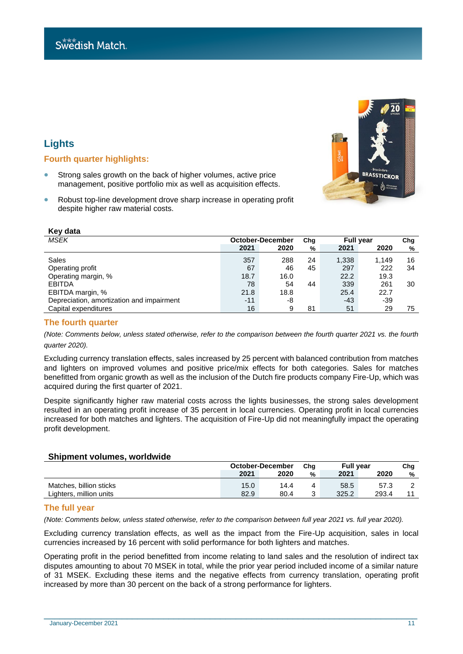## **Lights**

## **Fourth quarter highlights:**

- Strong sales growth on the back of higher volumes, active price management, positive portfolio mix as well as acquisition effects.
- Robust top-line development drove sharp increase in operating profit despite higher raw material costs.

| Key data                                  |       |                  |     |                  |       |     |
|-------------------------------------------|-------|------------------|-----|------------------|-------|-----|
| <b>MSEK</b>                               |       | October-December | Chg | <b>Full year</b> |       | Chg |
|                                           | 2021  | 2020             | %   | 2021             | 2020  | %   |
| Sales                                     | 357   | 288              | 24  | 1,338            | 1.149 | 16  |
| Operating profit                          | 67    | 46               | 45  | 297              | 222   | 34  |
| Operating margin, %                       | 18.7  | 16.0             |     | 22.2             | 19.3  |     |
| <b>EBITDA</b>                             | 78    | 54               | 44  | 339              | 261   | 30  |
| EBITDA margin, %                          | 21.8  | 18.8             |     | 25.4             | 22.7  |     |
| Depreciation, amortization and impairment | $-11$ | -8               |     | $-43$            | -39   |     |
| Capital expenditures                      | 16    | 9                | 81  | 51               | 29    | 75  |

## **The fourth quarter**

*(Note: Comments below, unless stated otherwise, refer to the comparison between the fourth quarter 2021 vs. the fourth quarter 2020).*

Excluding currency translation effects, sales increased by 25 percent with balanced contribution from matches and lighters on improved volumes and positive price/mix effects for both categories. Sales for matches benefitted from organic growth as well as the inclusion of the Dutch fire products company Fire-Up, which was acquired during the first quarter of 2021.

Despite significantly higher raw material costs across the lights businesses, the strong sales development resulted in an operating profit increase of 35 percent in local currencies. Operating profit in local currencies increased for both matches and lighters. The acquisition of Fire-Up did not meaningfully impact the operating profit development.

## **Shipment volumes, worldwide**

|                         | October-December |      | Cha | <b>Full vear</b> |       | Cha |
|-------------------------|------------------|------|-----|------------------|-------|-----|
|                         | 2021             | 2020 | %   | 2021             | 2020  | %   |
| Matches, billion sticks | 15.0             | 14.4 |     | 58.5             | 57.3  | -   |
| Lighters, million units | 82.9             | 80.4 |     | 325.2            | 293.4 |     |

## **The full year**

*(Note: Comments below, unless stated otherwise, refer to the comparison between full year 2021 vs. full year 2020).*

Excluding currency translation effects, as well as the impact from the Fire-Up acquisition, sales in local currencies increased by 16 percent with solid performance for both lighters and matches.

Operating profit in the period benefitted from income relating to land sales and the resolution of indirect tax disputes amounting to about 70 MSEK in total, while the prior year period included income of a similar nature of 31 MSEK. Excluding these items and the negative effects from currency translation, operating profit increased by more than 30 percent on the back of a strong performance for lighters.

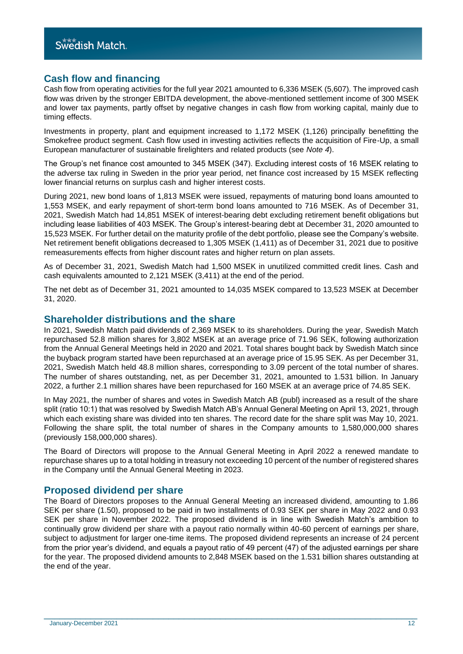## **Cash flow and financing**

Cash flow from operating activities for the full year 2021 amounted to 6,336 MSEK (5,607). The improved cash flow was driven by the stronger EBITDA development, the above-mentioned settlement income of 300 MSEK and lower tax payments, partly offset by negative changes in cash flow from working capital, mainly due to timing effects.

Investments in property, plant and equipment increased to 1,172 MSEK (1,126) principally benefitting the Smokefree product segment. Cash flow used in investing activities reflects the acquisition of Fire-Up, a small European manufacturer of sustainable firelighters and related products (see *Note 4*).

The Group's net finance cost amounted to 345 MSEK (347). Excluding interest costs of 16 MSEK relating to the adverse tax ruling in Sweden in the prior year period, net finance cost increased by 15 MSEK reflecting lower financial returns on surplus cash and higher interest costs.

During 2021, new bond loans of 1,813 MSEK were issued, repayments of maturing bond loans amounted to 1,553 MSEK, and early repayment of short-term bond loans amounted to 716 MSEK. As of December 31, 2021, Swedish Match had 14,851 MSEK of interest-bearing debt excluding retirement benefit obligations but including lease liabilities of 403 MSEK. The Group's interest-bearing debt at December 31, 2020 amounted to 15,523 MSEK. For further detail on the maturity profile of the debt portfolio, please see the Company's website. Net retirement benefit obligations decreased to 1,305 MSEK (1,411) as of December 31, 2021 due to positive remeasurements effects from higher discount rates and higher return on plan assets.

As of December 31, 2021, Swedish Match had 1,500 MSEK in unutilized committed credit lines. Cash and cash equivalents amounted to 2,121 MSEK (3,411) at the end of the period.

The net debt as of December 31, 2021 amounted to 14,035 MSEK compared to 13,523 MSEK at December 31, 2020.

## **Shareholder distributions and the share**

In 2021, Swedish Match paid dividends of 2,369 MSEK to its shareholders. During the year, Swedish Match repurchased 52.8 million shares for 3,802 MSEK at an average price of 71.96 SEK, following authorization from the Annual General Meetings held in 2020 and 2021. Total shares bought back by Swedish Match since the buyback program started have been repurchased at an average price of 15.95 SEK. As per December 31, 2021, Swedish Match held 48.8 million shares, corresponding to 3.09 percent of the total number of shares. The number of shares outstanding, net, as per December 31, 2021, amounted to 1.531 billion. In January 2022, a further 2.1 million shares have been repurchased for 160 MSEK at an average price of 74.85 SEK.

In May 2021, the number of shares and votes in Swedish Match AB (publ) increased as a result of the share split (ratio 10:1) that was resolved by Swedish Match AB's Annual General Meeting on April 13, 2021, through which each existing share was divided into ten shares. The record date for the share split was May 10, 2021. Following the share split, the total number of shares in the Company amounts to 1,580,000,000 shares (previously 158,000,000 shares).

The Board of Directors will propose to the Annual General Meeting in April 2022 a renewed mandate to repurchase shares up to a total holding in treasury not exceeding 10 percent of the number of registered shares in the Company until the Annual General Meeting in 2023.

## **Proposed dividend per share**

The Board of Directors proposes to the Annual General Meeting an increased dividend, amounting to 1.86 SEK per share (1.50), proposed to be paid in two installments of 0.93 SEK per share in May 2022 and 0.93 SEK per share in November 2022. The proposed dividend is in line with Swedish Match's ambition to continually grow dividend per share with a payout ratio normally within 40-60 percent of earnings per share, subject to adjustment for larger one-time items. The proposed dividend represents an increase of 24 percent from the prior year's dividend, and equals a payout ratio of 49 percent (47) of the adjusted earnings per share for the year. The proposed dividend amounts to 2,848 MSEK based on the 1.531 billion shares outstanding at the end of the year.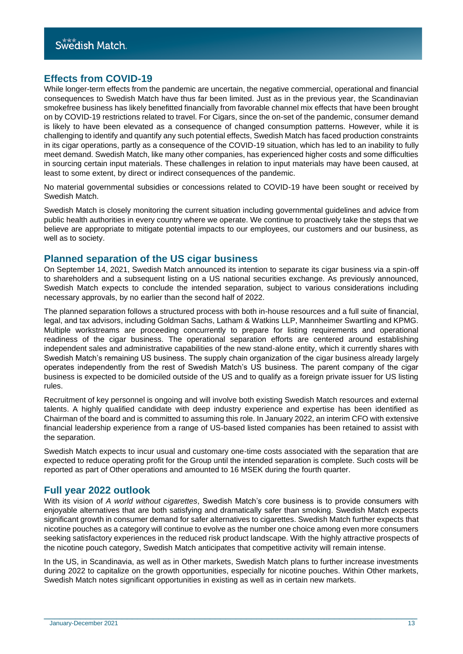## **Effects from COVID-19**

While longer-term effects from the pandemic are uncertain, the negative commercial, operational and financial consequences to Swedish Match have thus far been limited. Just as in the previous year, the Scandinavian smokefree business has likely benefitted financially from favorable channel mix effects that have been brought on by COVID-19 restrictions related to travel. For Cigars, since the on-set of the pandemic, consumer demand is likely to have been elevated as a consequence of changed consumption patterns. However, while it is challenging to identify and quantify any such potential effects, Swedish Match has faced production constraints in its cigar operations, partly as a consequence of the COVID-19 situation, which has led to an inability to fully meet demand. Swedish Match, like many other companies, has experienced higher costs and some difficulties in sourcing certain input materials. These challenges in relation to input materials may have been caused, at least to some extent, by direct or indirect consequences of the pandemic.

No material governmental subsidies or concessions related to COVID-19 have been sought or received by Swedish Match.

Swedish Match is closely monitoring the current situation including governmental guidelines and advice from public health authorities in every country where we operate. We continue to proactively take the steps that we believe are appropriate to mitigate potential impacts to our employees, our customers and our business, as well as to society.

## **Planned separation of the US cigar business**

On September 14, 2021, Swedish Match announced its intention to separate its cigar business via a spin-off to shareholders and a subsequent listing on a US national securities exchange. As previously announced, Swedish Match expects to conclude the intended separation, subject to various considerations including necessary approvals, by no earlier than the second half of 2022.

The planned separation follows a structured process with both in-house resources and a full suite of financial, legal, and tax advisors, including Goldman Sachs, Latham & Watkins LLP, Mannheimer Swartling and KPMG. Multiple workstreams are proceeding concurrently to prepare for listing requirements and operational readiness of the cigar business. The operational separation efforts are centered around establishing independent sales and administrative capabilities of the new stand-alone entity, which it currently shares with Swedish Match's remaining US business. The supply chain organization of the cigar business already largely operates independently from the rest of Swedish Match's US business. The parent company of the cigar business is expected to be domiciled outside of the US and to qualify as a foreign private issuer for US listing rules.

Recruitment of key personnel is ongoing and will involve both existing Swedish Match resources and external talents. A highly qualified candidate with deep industry experience and expertise has been identified as Chairman of the board and is committed to assuming this role. In January 2022, an interim CFO with extensive financial leadership experience from a range of US-based listed companies has been retained to assist with the separation.

Swedish Match expects to incur usual and customary one-time costs associated with the separation that are expected to reduce operating profit for the Group until the intended separation is complete. Such costs will be reported as part of Other operations and amounted to 16 MSEK during the fourth quarter.

## **Full year 2022 outlook**

With its vision of *A world without cigarettes*, Swedish Match's core business is to provide consumers with enjoyable alternatives that are both satisfying and dramatically safer than smoking. Swedish Match expects significant growth in consumer demand for safer alternatives to cigarettes. Swedish Match further expects that nicotine pouches as a category will continue to evolve as the number one choice among even more consumers seeking satisfactory experiences in the reduced risk product landscape. With the highly attractive prospects of the nicotine pouch category, Swedish Match anticipates that competitive activity will remain intense.

In the US, in Scandinavia, as well as in Other markets, Swedish Match plans to further increase investments during 2022 to capitalize on the growth opportunities, especially for nicotine pouches. Within Other markets, Swedish Match notes significant opportunities in existing as well as in certain new markets.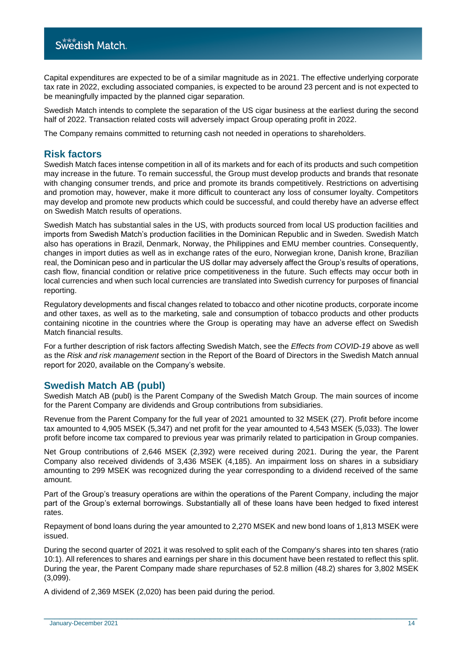Capital expenditures are expected to be of a similar magnitude as in 2021. The effective underlying corporate tax rate in 2022, excluding associated companies, is expected to be around 23 percent and is not expected to be meaningfully impacted by the planned cigar separation.

Swedish Match intends to complete the separation of the US cigar business at the earliest during the second half of 2022. Transaction related costs will adversely impact Group operating profit in 2022.

The Company remains committed to returning cash not needed in operations to shareholders.

## **Risk factors**

Swedish Match faces intense competition in all of its markets and for each of its products and such competition may increase in the future. To remain successful, the Group must develop products and brands that resonate with changing consumer trends, and price and promote its brands competitively. Restrictions on advertising and promotion may, however, make it more difficult to counteract any loss of consumer loyalty. Competitors may develop and promote new products which could be successful, and could thereby have an adverse effect on Swedish Match results of operations.

Swedish Match has substantial sales in the US, with products sourced from local US production facilities and imports from Swedish Match's production facilities in the Dominican Republic and in Sweden. Swedish Match also has operations in Brazil, Denmark, Norway, the Philippines and EMU member countries. Consequently, changes in import duties as well as in exchange rates of the euro, Norwegian krone, Danish krone, Brazilian real, the Dominican peso and in particular the US dollar may adversely affect the Group's results of operations, cash flow, financial condition or relative price competitiveness in the future. Such effects may occur both in local currencies and when such local currencies are translated into Swedish currency for purposes of financial reporting.

Regulatory developments and fiscal changes related to tobacco and other nicotine products, corporate income and other taxes, as well as to the marketing, sale and consumption of tobacco products and other products containing nicotine in the countries where the Group is operating may have an adverse effect on Swedish Match financial results.

For a further description of risk factors affecting Swedish Match, see the *Effects from COVID-19* above as well as the *Risk and risk management* section in the Report of the Board of Directors in the Swedish Match annual report for 2020, available on the Company's website.

## **Swedish Match AB (publ)**

Swedish Match AB (publ) is the Parent Company of the Swedish Match Group. The main sources of income for the Parent Company are dividends and Group contributions from subsidiaries.

Revenue from the Parent Company for the full year of 2021 amounted to 32 MSEK (27). Profit before income tax amounted to 4,905 MSEK (5,347) and net profit for the year amounted to 4,543 MSEK (5,033). The lower profit before income tax compared to previous year was primarily related to participation in Group companies.

Net Group contributions of 2,646 MSEK (2,392) were received during 2021. During the year, the Parent Company also received dividends of 3,436 MSEK (4,185). An impairment loss on shares in a subsidiary amounting to 299 MSEK was recognized during the year corresponding to a dividend received of the same amount.

Part of the Group's treasury operations are within the operations of the Parent Company, including the major part of the Group's external borrowings. Substantially all of these loans have been hedged to fixed interest rates.

Repayment of bond loans during the year amounted to 2,270 MSEK and new bond loans of 1,813 MSEK were issued.

During the second quarter of 2021 it was resolved to split each of the Company's shares into ten shares (ratio 10:1). All references to shares and earnings per share in this document have been restated to reflect this split. During the year, the Parent Company made share repurchases of 52.8 million (48.2) shares for 3,802 MSEK (3,099).

\_\_\_\_\_\_\_\_\_\_\_\_\_\_\_\_\_\_\_\_\_\_\_\_\_\_\_\_\_\_\_\_\_\_\_\_\_\_\_\_\_\_\_\_\_\_\_\_\_\_\_\_\_\_\_\_\_\_\_\_\_\_\_\_\_\_\_\_\_\_\_\_

A dividend of 2,369 MSEK (2,020) has been paid during the period.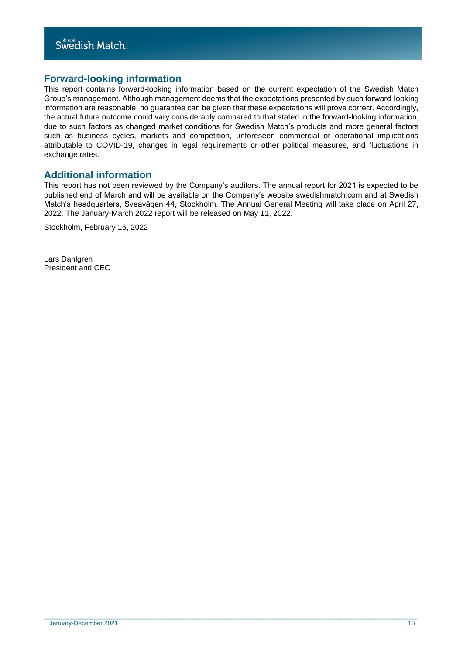## **Forward-looking information**

This report contains forward-looking information based on the current expectation of the Swedish Match Group's management. Although management deems that the expectations presented by such forward-looking information are reasonable, no guarantee can be given that these expectations will prove correct. Accordingly, the actual future outcome could vary considerably compared to that stated in the forward-looking information, due to such factors as changed market conditions for Swedish Match's products and more general factors such as business cycles, markets and competition, unforeseen commercial or operational implications attributable to COVID-19, changes in legal requirements or other political measures, and fluctuations in exchange rates.

## **Additional information**

This report has not been reviewed by the Company's auditors. The annual report for 2021 is expected to be published end of March and will be available on the Company's website swedishmatch.com and at Swedish Match's headquarters, Sveavägen 44, Stockholm. The Annual General Meeting will take place on April 27, 2022. The January-March 2022 report will be released on May 11, 2022.

\_\_\_\_\_\_\_\_\_\_\_\_\_\_\_\_\_\_\_\_\_\_\_\_\_\_\_\_\_\_\_\_\_\_\_\_\_\_\_\_\_\_\_\_\_\_\_\_\_\_\_\_\_\_\_\_\_\_\_\_\_\_\_\_\_\_\_\_\_\_\_\_

Stockholm, February 16, 2022

Lars Dahlgren President and CEO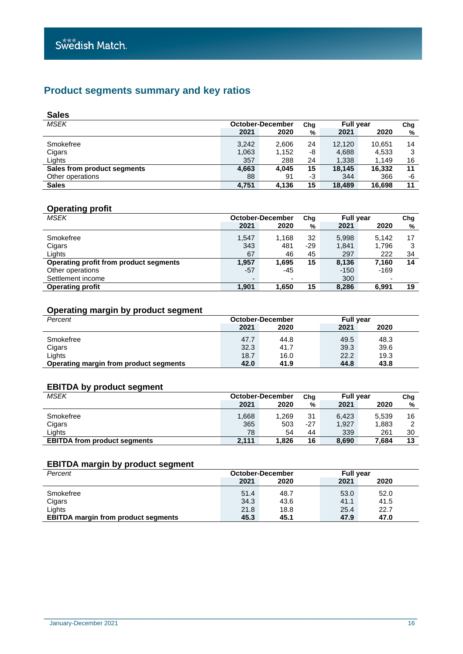## **Product segments summary and key ratios**

| <b>Sales</b>                |       |                  |     |                  |        |     |
|-----------------------------|-------|------------------|-----|------------------|--------|-----|
| <b>MSEK</b>                 |       | October-December | Chg | <b>Full year</b> |        | Chg |
|                             | 2021  | 2020             | %   | 2021             | 2020   | %   |
| Smokefree                   | 3.242 | 2,606            | 24  | 12.120           | 10,651 | 14  |
| Cigars                      | 1,063 | 1,152            | -8  | 4,688            | 4,533  | 3   |
| Lights                      | 357   | 288              | 24  | 1,338            | 1.149  | 16  |
| Sales from product segments | 4,663 | 4.045            | 15  | 18.145           | 16,332 | 11  |
| Other operations            | 88    | 91               | -3  | 344              | 366    | -6  |
| <b>Sales</b>                | 4.751 | 4,136            | 15  | 18.489           | 16.698 | 11  |

## **Operating profit**

| <b>MSEK</b>                            | October-December |       | Chg | <b>Full year</b> |        | Chg |
|----------------------------------------|------------------|-------|-----|------------------|--------|-----|
|                                        | 2021             | 2020  | %   | 2021             | 2020   | %   |
| Smokefree                              | 1,547            | 1.168 | 32  | 5,998            | 5.142  | 17  |
| Cigars                                 | 343              | 481   | -29 | 1,841            | 1.796  | 3   |
| Lights                                 | 67               | 46    | 45  | 297              | 222    | 34  |
| Operating profit from product segments | 1,957            | 1.695 | 15  | 8,136            | 7.160  | 14  |
| Other operations                       | $-57$            | -45   |     | $-150$           | $-169$ |     |
| Settlement income                      |                  | ٠     |     | 300              |        |     |
| <b>Operating profit</b>                | 1,901            | 1,650 | 15  | 8,286            | 6,991  | 19  |

## **Operating margin by product segment**

| Percent                                | October-December |              | <b>Full year</b> |              |
|----------------------------------------|------------------|--------------|------------------|--------------|
|                                        | 2021             | 2020         | 2021             | 2020         |
| Smokefree                              | 47.7<br>32.3     | 44.8<br>41.7 | 49.5<br>39.3     | 48.3<br>39.6 |
| Cigars<br>Lights                       | 18.7             | 16.0         | 22.2             | 19.3         |
| Operating margin from product segments | 42.0             | 41.9         | 44.8             | 43.8         |

## **EBITDA by product segment**

| <b>MSEK</b>                         | <b>October-December</b> |       | Chg   | <b>Full vear</b> |       | Chg     |
|-------------------------------------|-------------------------|-------|-------|------------------|-------|---------|
|                                     | 2021                    | 2020  | %     | 2021             | 2020  | %       |
| Smokefree                           | 1,668                   | .269  | 31    | 6.423            | 5.539 | 16<br>◠ |
| Cigars                              | 365                     | 503   | $-27$ | 1,927            | 1,883 |         |
| Liahts                              | 78                      | 54    | 44    | 339              | 261   | 30      |
| <b>EBITDA from product segments</b> | 2.111                   | 1.826 | 16    | 8,690            | 7.684 | 13      |

## **EBITDA margin by product segment**

| Percent                                    | <b>October-December</b> |      | <b>Full year</b> |      |
|--------------------------------------------|-------------------------|------|------------------|------|
|                                            | 2021                    | 2020 | 2021             | 2020 |
| Smokefree                                  | 51.4                    | 48.7 | 53.0             | 52.0 |
| Cigars                                     | 34.3                    | 43.6 | 41.1             | 41.5 |
| Lights                                     | 21.8                    | 18.8 | 25.4             | 22.7 |
| <b>EBITDA margin from product segments</b> | 45.3                    | 45.1 | 47.9             | 47.0 |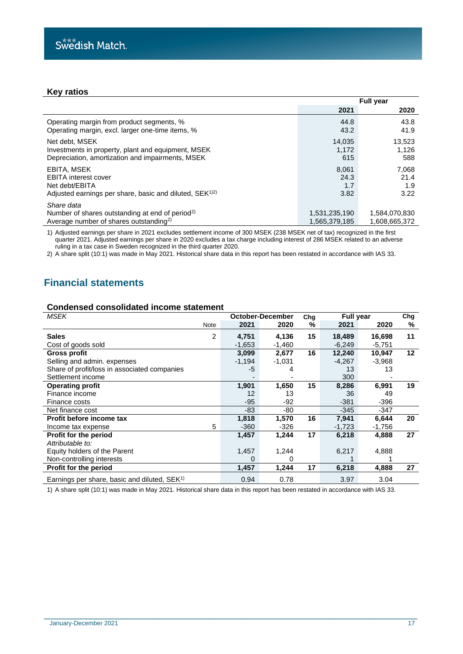## **Key ratios**

|                                                                                                                                 | <b>Full year</b>               |                                |  |
|---------------------------------------------------------------------------------------------------------------------------------|--------------------------------|--------------------------------|--|
|                                                                                                                                 | 2021                           | 2020                           |  |
| Operating margin from product segments, %                                                                                       | 44.8                           | 43.8                           |  |
| Operating margin, excl. larger one-time items, %                                                                                | 43.2                           | 41.9                           |  |
| Net debt. MSEK                                                                                                                  | 14,035                         | 13,523                         |  |
| Investments in property, plant and equipment, MSEK                                                                              | 1,172                          | 1,126                          |  |
| Depreciation, amortization and impairments, MSEK                                                                                | 615                            | 588                            |  |
| EBITA, MSEK                                                                                                                     | 8.061                          | 7.068                          |  |
| <b>EBITA</b> interest cover                                                                                                     | 24.3                           | 21.4                           |  |
| Net debt/EBITA                                                                                                                  | 1.7                            | 1.9                            |  |
| Adjusted earnings per share, basic and diluted, SEK <sup>1)2)</sup>                                                             | 3.82                           | 3.22                           |  |
| Share data<br>Number of shares outstanding at end of period <sup>2)</sup><br>Average number of shares outstanding <sup>2)</sup> | 1,531,235,190<br>1.565.379.185 | 1,584,070,830<br>1,608,665,372 |  |

1) Adjusted earnings per share in 2021 excludes settlement income of 300 MSEK (238 MSEK net of tax) recognized in the first quarter 2021. Adjusted earnings per share in 2020 excludes a tax charge including interest of 286 MSEK related to an adverse ruling in a tax case in Sweden recognized in the third quarter 2020.

2) A share split (10:1) was made in May 2021. Historical share data in this report has been restated in accordance with IAS 33.

## **Financial statements**

#### **Condensed consolidated income statement**

| MSEK                                                     |      |          | October-December |    | <b>Full year</b><br>Chg |          | Chg     |
|----------------------------------------------------------|------|----------|------------------|----|-------------------------|----------|---------|
|                                                          | Note | 2021     | 2020             | %  | 2021                    | 2020     | %       |
| <b>Sales</b>                                             | 2    | 4,751    | 4,136            | 15 | 18,489                  | 16,698   | 11      |
| Cost of goods sold                                       |      | $-1,653$ | $-1,460$         |    | $-6,249$                | $-5,751$ |         |
| <b>Gross profit</b>                                      |      | 3,099    | 2,677            | 16 | 12,240                  | 10,947   | $12 \,$ |
| Selling and admin. expenses                              |      | $-1,194$ | $-1,031$         |    | $-4,267$                | $-3,968$ |         |
| Share of profit/loss in associated companies             |      | -5       | 4                |    | 13                      | 13       |         |
| Settlement income                                        |      |          |                  |    | 300                     |          |         |
| <b>Operating profit</b>                                  |      | 1,901    | 1,650            | 15 | 8,286                   | 6,991    | 19      |
| Finance income                                           |      | 12       | 13               |    | 36                      | 49       |         |
| Finance costs                                            |      | $-95$    | -92              |    | $-381$                  | $-396$   |         |
| Net finance cost                                         |      | -83      | -80              |    | -345                    | -347     |         |
| Profit before income tax                                 |      | 1,818    | 1,570            | 16 | 7,941                   | 6,644    | 20      |
| Income tax expense                                       | 5    | $-360$   | $-326$           |    | $-1,723$                | -1,756   |         |
| Profit for the period                                    |      | 1,457    | 1,244            | 17 | 6,218                   | 4,888    | 27      |
| Attributable to:                                         |      |          |                  |    |                         |          |         |
| Equity holders of the Parent                             |      | 1,457    | 1,244            |    | 6,217                   | 4,888    |         |
| Non-controlling interests                                |      | 0        | 0                |    |                         |          |         |
| Profit for the period                                    |      | 1,457    | 1,244            | 17 | 6,218                   | 4,888    | 27      |
| Earnings per share, basic and diluted, SEK <sup>1)</sup> |      | 0.94     | 0.78             |    | 3.97                    | 3.04     |         |

1) A share split (10:1) was made in May 2021. Historical share data in this report has been restated in accordance with IAS 33.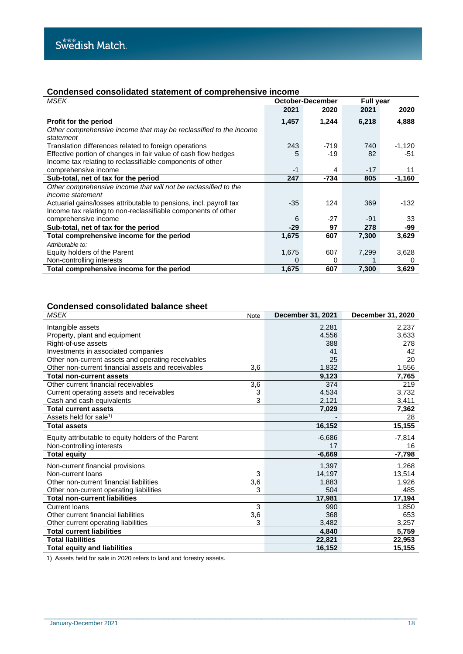## **Condensed consolidated statement of comprehensive income**

| MSEK                                                                                                                        | October-December |        | <b>Full year</b> |          |
|-----------------------------------------------------------------------------------------------------------------------------|------------------|--------|------------------|----------|
|                                                                                                                             | 2021             | 2020   | 2021             | 2020     |
| Profit for the period                                                                                                       | 1,457            | 1,244  | 6,218            | 4,888    |
| Other comprehensive income that may be reclassified to the income<br>statement                                              |                  |        |                  |          |
| Translation differences related to foreign operations                                                                       | 243              | $-719$ | 740              | $-1,120$ |
| Effective portion of changes in fair value of cash flow hedges<br>Income tax relating to reclassifiable components of other | 5                | $-19$  | 82               | -51      |
| comprehensive income                                                                                                        | -1               | 4      | $-17$            | 11       |
| Sub-total, net of tax for the period                                                                                        | 247              | $-734$ | 805              | $-1,160$ |
| Other comprehensive income that will not be reclassified to the                                                             |                  |        |                  |          |
| <i>income statement</i>                                                                                                     |                  |        |                  |          |
| Actuarial gains/losses attributable to pensions, incl. payroll tax                                                          | $-35$            | 124    | 369              | -132     |
| Income tax relating to non-reclassifiable components of other                                                               |                  |        |                  |          |
| comprehensive income                                                                                                        | 6                | $-27$  | -91              | 33       |
| Sub-total, net of tax for the period                                                                                        | $-29$            | 97     | 278              | -99      |
| Total comprehensive income for the period                                                                                   | 1,675            | 607    | 7,300            | 3,629    |
| Attributable to:                                                                                                            |                  |        |                  |          |
| Equity holders of the Parent                                                                                                | 1,675            | 607    | 7,299            | 3,628    |
| Non-controlling interests                                                                                                   | O                | 0      |                  |          |
| Total comprehensive income for the period                                                                                   | 1,675            | 607    | 7,300            | 3,629    |

## **Condensed consolidated balance sheet**

| <b>MSEK</b>                                         | Note | <b>December 31, 2021</b> | December 31, 2020 |
|-----------------------------------------------------|------|--------------------------|-------------------|
| Intangible assets                                   |      | 2,281                    | 2,237             |
| Property, plant and equipment                       |      | 4,556                    | 3,633             |
| Right-of-use assets                                 |      | 388                      | 278               |
| Investments in associated companies                 |      | 41                       | 42                |
| Other non-current assets and operating receivables  |      | 25                       | 20                |
| Other non-current financial assets and receivables  | 3,6  | 1,832                    | 1,556             |
| <b>Total non-current assets</b>                     |      | 9,123                    | 7,765             |
| Other current financial receivables                 | 3,6  | 374                      | 219               |
| Current operating assets and receivables            | 3    | 4,534                    | 3,732             |
| Cash and cash equivalents                           | 3    | 2,121                    | 3,411             |
| <b>Total current assets</b>                         |      | 7,029                    | 7,362             |
| Assets held for sale <sup>1)</sup>                  |      |                          | 28                |
| <b>Total assets</b>                                 |      | 16,152                   | 15,155            |
| Equity attributable to equity holders of the Parent |      | $-6,686$                 | $-7,814$          |
| Non-controlling interests                           |      | 17                       | 16                |
| <b>Total equity</b>                                 |      | $-6,669$                 | $-7,798$          |
| Non-current financial provisions                    |      | 1,397                    | 1,268             |
| Non-current loans                                   | 3    | 14,197                   | 13,514            |
| Other non-current financial liabilities             | 3,6  | 1,883                    | 1,926             |
| Other non-current operating liabilities             | 3    | 504                      | 485               |
| <b>Total non-current liabilities</b>                |      | 17,981                   | 17,194            |
| Current loans                                       | 3    | 990                      | 1,850             |
| Other current financial liabilities                 | 3,6  | 368                      | 653               |
| Other current operating liabilities                 | 3    | 3,482                    | 3,257             |
| <b>Total current liabilities</b>                    |      | 4,840                    | 5,759             |
| <b>Total liabilities</b>                            |      | 22,821                   | 22,953            |
| <b>Total equity and liabilities</b>                 |      | 16,152                   | 15,155            |

\_\_\_\_\_\_\_\_\_\_\_\_\_\_\_\_\_\_\_\_\_\_\_\_\_\_\_\_\_\_\_\_\_\_\_\_\_\_\_\_\_\_\_\_\_\_\_\_\_\_\_\_\_\_\_\_\_\_\_\_\_\_\_\_\_\_\_\_\_\_\_\_

1) Assets held for sale in 2020 refers to land and forestry assets.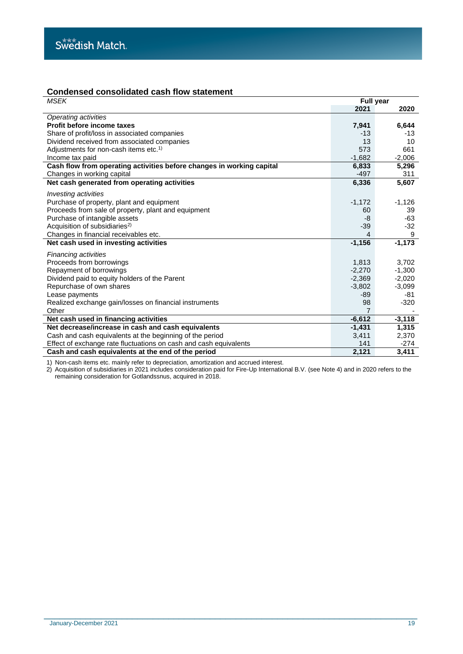## **Condensed consolidated cash flow statement**

| <b>MSEK</b>                                                           | <b>Full year</b> |          |
|-----------------------------------------------------------------------|------------------|----------|
|                                                                       | 2021             | 2020     |
| Operating activities                                                  |                  |          |
| Profit before income taxes                                            | 7,941            | 6,644    |
| Share of profit/loss in associated companies                          | $-13$            | -13      |
| Dividend received from associated companies                           | 13               | 10       |
| Adjustments for non-cash items etc. <sup>1)</sup>                     | 573              | 661      |
| Income tax paid                                                       | $-1,682$         | $-2,006$ |
| Cash flow from operating activities before changes in working capital | 6,833            | 5,296    |
| Changes in working capital                                            | $-497$           | 311      |
| Net cash generated from operating activities                          | 6,336            | 5,607    |
| <i>Investing activities</i>                                           |                  |          |
| Purchase of property, plant and equipment                             | $-1,172$         | $-1,126$ |
| Proceeds from sale of property, plant and equipment                   | 60               | 39       |
| Purchase of intangible assets                                         | -8               | -63      |
| Acquisition of subsidiaries <sup>2)</sup>                             | $-39$            | $-32$    |
| Changes in financial receivables etc.                                 | 4                | 9        |
| Net cash used in investing activities                                 | $-1,156$         | $-1,173$ |
| <b>Financing activities</b>                                           |                  |          |
| Proceeds from borrowings                                              | 1,813            | 3,702    |
| Repayment of borrowings                                               | $-2,270$         | $-1,300$ |
| Dividend paid to equity holders of the Parent                         | $-2,369$         | $-2,020$ |
| Repurchase of own shares                                              | $-3,802$         | $-3,099$ |
| Lease payments                                                        | $-89$            | -81      |
| Realized exchange gain/losses on financial instruments                | 98               | $-320$   |
| Other                                                                 | 7                |          |
| Net cash used in financing activities                                 | $-6,612$         | $-3,118$ |
| Net decrease/increase in cash and cash equivalents                    | $-1,431$         | 1,315    |
| Cash and cash equivalents at the beginning of the period              | 3,411            | 2,370    |
| Effect of exchange rate fluctuations on cash and cash equivalents     | 141              | $-274$   |
| Cash and cash equivalents at the end of the period                    | 2,121            | 3,411    |

1) Non-cash items etc. mainly refer to depreciation, amortization and accrued interest.

2) Acquisition of subsidiaries in 2021 includes consideration paid for Fire-Up International B.V. (see Note 4) and in 2020 refers to the remaining consideration for Gotlandssnus, acquired in 2018.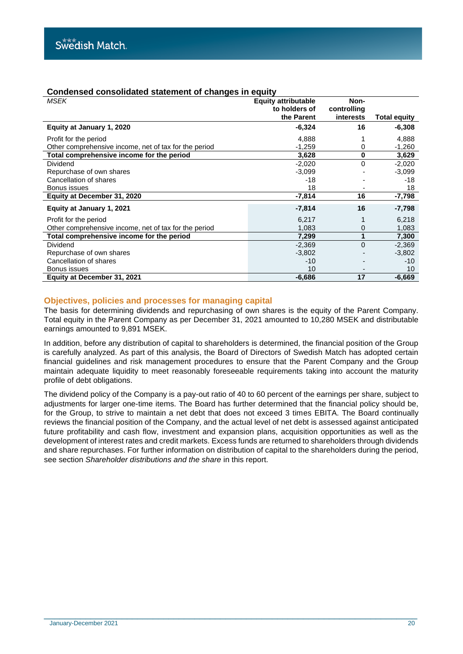## **Condensed consolidated statement of changes in equity**

| <b>MSEK</b>                                           | <b>Equity attributable</b><br>to holders of | Non-<br>controlling |                     |
|-------------------------------------------------------|---------------------------------------------|---------------------|---------------------|
|                                                       | the Parent                                  | interests           | <b>Total equity</b> |
| Equity at January 1, 2020                             | $-6,324$                                    | 16                  | $-6,308$            |
| Profit for the period                                 | 4,888                                       |                     | 4,888               |
| Other comprehensive income, net of tax for the period | $-1,259$                                    | 0                   | $-1,260$            |
| Total comprehensive income for the period             | 3,628                                       | 0                   | 3,629               |
| Dividend                                              | $-2,020$                                    | 0                   | $-2,020$            |
| Repurchase of own shares                              | $-3,099$                                    |                     | $-3,099$            |
| Cancellation of shares                                | $-18$                                       |                     | -18                 |
| Bonus issues                                          | 18                                          |                     | 18                  |
| Equity at December 31, 2020                           | $-7.814$                                    | 16                  | $-7.798$            |
| Equity at January 1, 2021                             | $-7,814$                                    | 16                  | -7,798              |
| Profit for the period                                 | 6,217                                       |                     | 6,218               |
| Other comprehensive income, net of tax for the period | 1,083                                       | 0                   | 1,083               |
| Total comprehensive income for the period             | 7,299                                       |                     | 7,300               |
| Dividend                                              | $-2,369$                                    | $\Omega$            | $-2,369$            |
| Repurchase of own shares                              | $-3,802$                                    |                     | $-3,802$            |
| Cancellation of shares                                | $-10$                                       |                     | $-10$               |
| Bonus issues                                          | 10                                          |                     | 10                  |
| Equity at December 31, 2021                           | $-6,686$                                    | 17                  | $-6,669$            |

## **Objectives, policies and processes for managing capital**

The basis for determining dividends and repurchasing of own shares is the equity of the Parent Company. Total equity in the Parent Company as per December 31, 2021 amounted to 10,280 MSEK and distributable earnings amounted to 9,891 MSEK.

In addition, before any distribution of capital to shareholders is determined, the financial position of the Group is carefully analyzed. As part of this analysis, the Board of Directors of Swedish Match has adopted certain financial guidelines and risk management procedures to ensure that the Parent Company and the Group maintain adequate liquidity to meet reasonably foreseeable requirements taking into account the maturity profile of debt obligations.

The dividend policy of the Company is a pay-out ratio of 40 to 60 percent of the earnings per share, subject to adjustments for larger one-time items. The Board has further determined that the financial policy should be, for the Group, to strive to maintain a net debt that does not exceed 3 times EBITA. The Board continually reviews the financial position of the Company, and the actual level of net debt is assessed against anticipated future profitability and cash flow, investment and expansion plans, acquisition opportunities as well as the development of interest rates and credit markets. Excess funds are returned to shareholders through dividends and share repurchases. For further information on distribution of capital to the shareholders during the period, see section *Shareholder distributions and the share* in this report.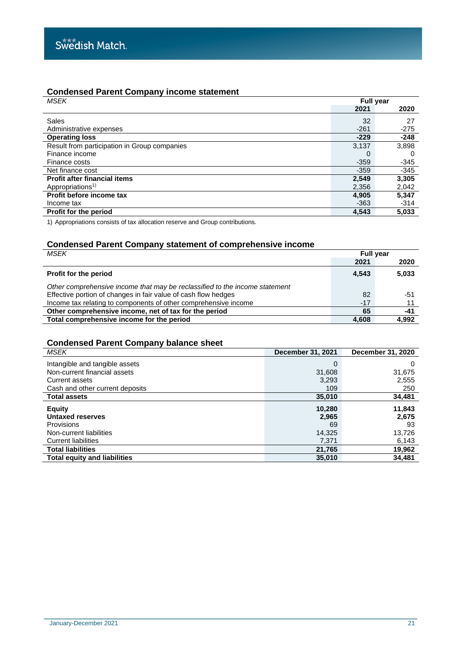## **Condensed Parent Company income statement**

| <b>MSEK</b>                                  | <b>Full year</b> |        |
|----------------------------------------------|------------------|--------|
|                                              | 2021             | 2020   |
| Sales                                        | 32               | 27     |
| Administrative expenses                      | $-261$           | $-275$ |
| <b>Operating loss</b>                        | $-229$           | $-248$ |
| Result from participation in Group companies | 3,137            | 3,898  |
| Finance income                               | 0                | 0      |
| Finance costs                                | $-359$           | -345   |
| Net finance cost                             | $-359$           | $-345$ |
| <b>Profit after financial items</b>          | 2.549            | 3,305  |
| Appropriations <sup>1)</sup>                 | 2,356            | 2,042  |
| Profit before income tax                     | 4,905            | 5,347  |
| Income tax                                   | $-363$           | $-314$ |
| Profit for the period                        | 4,543            | 5,033  |

1) Appropriations consists of tax allocation reserve and Group contributions.

## **Condensed Parent Company statement of comprehensive income**

| MSEK                                                                        | <b>Full year</b> |       |
|-----------------------------------------------------------------------------|------------------|-------|
|                                                                             | 2021             | 2020  |
| Profit for the period                                                       | 4.543            | 5,033 |
| Other comprehensive income that may be reclassified to the income statement |                  |       |
| Effective portion of changes in fair value of cash flow hedges              | 82               | -51   |
| Income tax relating to components of other comprehensive income             | $-17$            |       |
| Other comprehensive income, net of tax for the period                       | 65               | -41   |
| Total comprehensive income for the period                                   | 4.608            | 4,992 |

## **Condensed Parent Company balance sheet**

| MSEK                                | December 31, 2021 | December 31, 2020 |
|-------------------------------------|-------------------|-------------------|
| Intangible and tangible assets      | 0                 | 0                 |
| Non-current financial assets        | 31,608            | 31,675            |
| Current assets                      | 3.293             | 2,555             |
| Cash and other current deposits     | 109               | 250               |
| <b>Total assets</b>                 | 35,010            | 34,481            |
| <b>Equity</b>                       | 10,280            | 11,843            |
| Untaxed reserves                    | 2,965             | 2.675             |
| Provisions                          | 69                | 93                |
| Non-current liabilities             | 14,325            | 13,726            |
| <b>Current liabilities</b>          | 7.371             | 6.143             |
| <b>Total liabilities</b>            | 21,765            | 19,962            |
| <b>Total equity and liabilities</b> | 35,010            | 34,481            |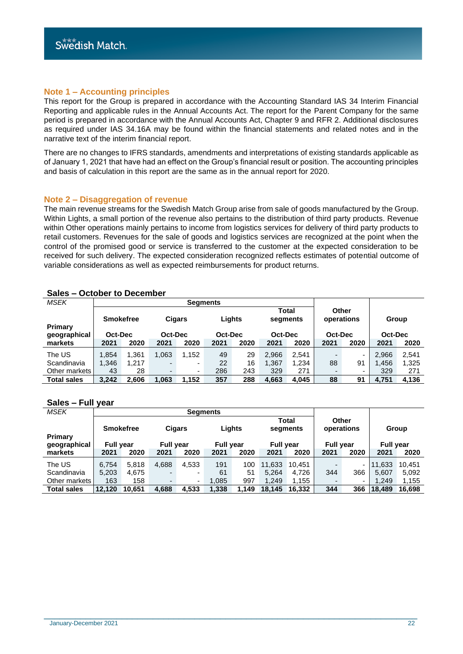## **Note 1 – Accounting principles**

This report for the Group is prepared in accordance with the Accounting Standard IAS 34 Interim Financial Reporting and applicable rules in the Annual Accounts Act. The report for the Parent Company for the same period is prepared in accordance with the Annual Accounts Act, Chapter 9 and RFR 2. Additional disclosures as required under IAS 34.16A may be found within the financial statements and related notes and in the narrative text of the interim financial report.

There are no changes to IFRS standards, amendments and interpretations of existing standards applicable as of January 1, 2021 that have had an effect on the Group's financial result or position. The accounting principles and basis of calculation in this report are the same as in the annual report for 2020.

#### **Note 2 – Disaggregation of revenue**

The main revenue streams for the Swedish Match Group arise from sale of goods manufactured by the Group. Within Lights, a small portion of the revenue also pertains to the distribution of third party products. Revenue within Other operations mainly pertains to income from logistics services for delivery of third party products to retail customers. Revenues for the sale of goods and logistics services are recognized at the point when the control of the promised good or service is transferred to the customer at the expected consideration to be received for such delivery. The expected consideration recognized reflects estimates of potential outcome of variable considerations as well as expected reimbursements for product returns.

| <b>MSEK</b>             |       |                             |                          | <b>Segments</b>          |      |                   |       |                              |      |                                |       |                  |
|-------------------------|-------|-----------------------------|--------------------------|--------------------------|------|-------------------|-------|------------------------------|------|--------------------------------|-------|------------------|
| Primary<br>geographical |       | <b>Smokefree</b><br>Oct-Dec |                          | <b>Cigars</b><br>Oct-Dec |      | Lights<br>Oct-Dec |       | Total<br>segments<br>Oct-Dec |      | Other<br>operations<br>Oct-Dec |       | Group<br>Oct-Dec |
| markets                 | 2021  | 2020                        | 2021                     | 2020                     | 2021 | 2020              | 2021  | 2020                         | 2021 | 2020                           | 2021  | 2020             |
| The US                  | 1,854 | 1.361                       | 1,063                    | 1,152                    | 49   | 29                | 2,966 | 2,541                        |      | -                              | 2,966 | 2,541            |
| Scandinavia             | 1,346 | 1.217                       | -                        | ۰                        | 22   | 16                | .367  | 1,234                        | 88   | 91                             | 1,456 | 1,325            |
| Other markets           | 43    | 28                          | $\overline{\phantom{0}}$ | ۰                        | 286  | 243               | 329   | 271                          |      | -                              | 329   | 271              |
| <b>Total sales</b>      | 3.242 | 2,606                       | 1.063                    | 1,152                    | 357  | 288               | 4,663 | 4.045                        | 88   | 91                             | 4,751 | 4.136            |

## **Sales – October to December**

#### **Sales – Full year**

| <b>MSEK</b>        |                  |                  |                          | <b>Segments</b> |                  |       |                  |                   |                          |                          |                  |        |
|--------------------|------------------|------------------|--------------------------|-----------------|------------------|-------|------------------|-------------------|--------------------------|--------------------------|------------------|--------|
|                    |                  | <b>Smokefree</b> | <b>Cigars</b>            |                 | Lights           |       |                  | Total<br>segments | Other<br>operations      |                          |                  | Group  |
| <b>Primary</b>     |                  |                  |                          |                 |                  |       |                  |                   |                          |                          |                  |        |
| geographical       | <b>Full vear</b> |                  | <b>Full year</b>         |                 | <b>Full year</b> |       | <b>Full vear</b> |                   | <b>Full year</b>         |                          | <b>Full vear</b> |        |
| markets            | 2021             | 2020             | 2021                     | 2020            | 2021             | 2020  | 2021             | 2020              | 2021                     | 2020                     | 2021             | 2020   |
| The US             | 6.754            | 5.818            | 4,688                    | 4,533           | 191              | 100   | 11.633           | 10.451            |                          | $\sim$                   | 11.633           | 10.451 |
| Scandinavia        | 5,203            | 4.675            | -                        |                 | 61               | 51    | 5.264            | 4.726             | 344                      | 366                      | 5.607            | 5,092  |
| Other markets      | 163              | 158              | $\overline{\phantom{0}}$ | ٠               | 1,085            | 997   | 1.249            | 1.155             | $\overline{\phantom{0}}$ | $\overline{\phantom{0}}$ | 1.249            | 1,155  |
| <b>Total sales</b> | 12.120           | 10.651           | 4,688                    | 4,533           | 1,338            | 1.149 | 18.145           | 16.332            | 344                      | 366                      | 18.489           | 16.698 |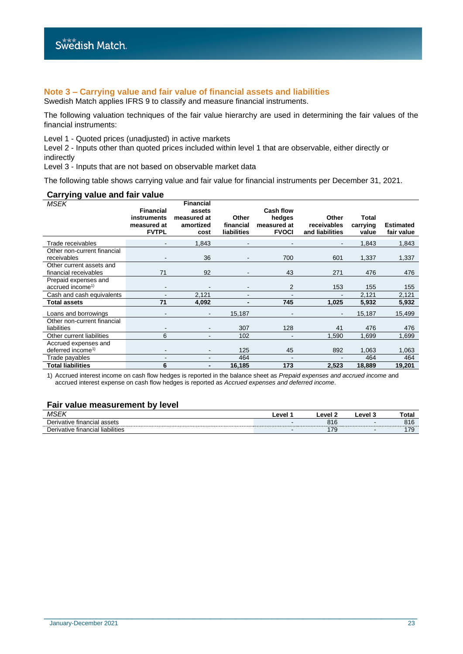## **Note 3 – Carrying value and fair value of financial assets and liabilities**

Swedish Match applies IFRS 9 to classify and measure financial instruments.

The following valuation techniques of the fair value hierarchy are used in determining the fair values of the financial instruments:

Level 1 - Quoted prices (unadjusted) in active markets

Level 2 - Inputs other than quoted prices included within level 1 that are observable, either directly or indirectly

Level 3 - Inputs that are not based on observable market data

The following table shows carrying value and fair value for financial instruments per December 31, 2021.

#### **Carrying value and fair value**

| <b>MSEK</b>                                          | <b>Financial</b>                           | <b>Financial</b><br>assets       |                                          | <b>Cash flow</b>                      |                                         |                            |                                |
|------------------------------------------------------|--------------------------------------------|----------------------------------|------------------------------------------|---------------------------------------|-----------------------------------------|----------------------------|--------------------------------|
|                                                      | instruments<br>measured at<br><b>FVTPL</b> | measured at<br>amortized<br>cost | Other<br>financial<br><b>liabilities</b> | hedges<br>measured at<br><b>FVOCI</b> | Other<br>receivables<br>and liabilities | Total<br>carrying<br>value | <b>Estimated</b><br>fair value |
| Trade receivables                                    | $\qquad \qquad \blacksquare$               | 1,843                            |                                          |                                       | $\overline{\phantom{a}}$                | 1,843                      | 1,843                          |
| Other non-current financial<br>receivables           |                                            | 36                               |                                          | 700                                   | 601                                     | 1,337                      | 1,337                          |
| Other current assets and<br>financial receivables    | 71                                         | 92                               |                                          | 43                                    | 271                                     | 476                        | 476                            |
| Prepaid expenses and<br>accrued income <sup>1)</sup> | $\blacksquare$                             |                                  |                                          | 2                                     | 153                                     | 155                        | 155                            |
| Cash and cash equivalents                            |                                            | 2,121                            |                                          |                                       |                                         | 2,121                      | 2,121                          |
| Total assets                                         | 71                                         | 4,092                            |                                          | 745                                   | 1,025                                   | 5,932                      | 5,932                          |
| Loans and borrowings                                 |                                            | $\overline{\phantom{a}}$         | 15,187                                   |                                       | $\qquad \qquad \blacksquare$            | 15,187                     | 15,499                         |
| Other non-current financial<br>liabilities           | $\blacksquare$                             | $\overline{\phantom{a}}$         | 307                                      | 128                                   | 41                                      | 476                        | 476                            |
| Other current liabilities                            | 6                                          |                                  | 102                                      |                                       | 1,590                                   | 1,699                      | 1,699                          |
| Accrued expenses and                                 |                                            |                                  |                                          |                                       |                                         |                            |                                |
| deferred income <sup>1)</sup>                        | $\qquad \qquad \blacksquare$               |                                  | 125                                      | 45                                    | 892                                     | 1,063                      | 1,063                          |
| Trade payables                                       | $\overline{\phantom{a}}$                   | ۰                                | 464                                      | $\overline{\phantom{a}}$              |                                         | 464                        | 464                            |
| <b>Total liabilities</b>                             | 6                                          |                                  | 16,185                                   | 173                                   | 2,523                                   | 18,889                     | 19,201                         |

1) Accrued interest income on cash flow hedges is reported in the balance sheet as *Prepaid expenses and accrued income* and accrued interest expense on cash flow hedges is reported as *Accrued expenses and deferred income*.

#### **Fair value measurement by level**

| 10L<br>MJ.<br>$\cdot$ $\cdot$ $\cdot$                | $\mathbf{a}$ | <b>AVA</b><br>-- | ∟evel ′                  | ⊺otal       |
|------------------------------------------------------|--------------|------------------|--------------------------|-------------|
| -<br>rivative financial assets<br>Jer                |              | טוט              | -                        | 0.4C<br>010 |
| $\cdots$<br>liabilities<br>rivative financial<br>ימנ |              | 70.<br>73        | $\overline{\phantom{0}}$ |             |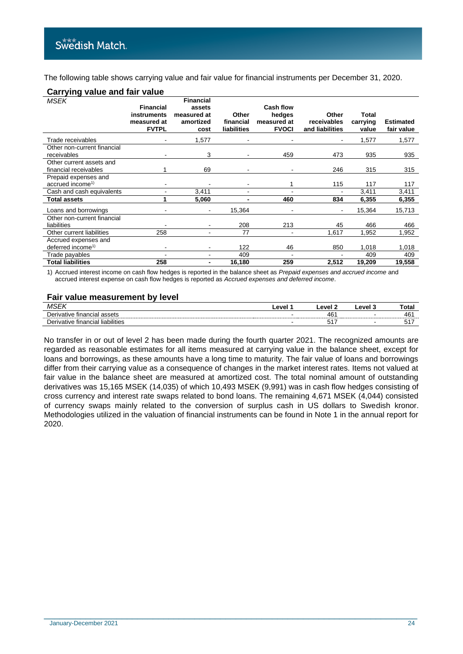The following table shows carrying value and fair value for financial instruments per December 31, 2020.

## **Carrying value and fair value**

| <b>MSEK</b>                   |                            | <b>Financial</b>             |                    |                       |                      |                   |                  |
|-------------------------------|----------------------------|------------------------------|--------------------|-----------------------|----------------------|-------------------|------------------|
|                               | <b>Financial</b>           | assets                       |                    | <b>Cash flow</b>      |                      |                   |                  |
|                               | instruments<br>measured at | measured at<br>amortized     | Other<br>financial | hedges<br>measured at | Other<br>receivables | Total<br>carrying | <b>Estimated</b> |
|                               | <b>FVTPL</b>               | cost                         | <b>liabilities</b> | <b>FVOCI</b>          | and liabilities      | value             | fair value       |
| Trade receivables             |                            | 1,577                        |                    |                       |                      | 1,577             | 1,577            |
| Other non-current financial   |                            |                              |                    |                       |                      |                   |                  |
| receivables                   |                            | 3                            |                    | 459                   | 473                  | 935               | 935              |
| Other current assets and      |                            |                              |                    |                       |                      |                   |                  |
| financial receivables         |                            | 69                           |                    |                       | 246                  | 315               | 315              |
| Prepaid expenses and          |                            |                              |                    |                       |                      |                   |                  |
| accrued income <sup>1)</sup>  | $\overline{\phantom{0}}$   |                              |                    |                       | 115                  | 117               | 117              |
| Cash and cash equivalents     |                            | 3,411                        |                    |                       |                      | 3,411             | 3,411            |
| <b>Total assets</b>           |                            | 5,060                        |                    | 460                   | 834                  | 6,355             | 6,355            |
| Loans and borrowings          |                            | $\qquad \qquad \blacksquare$ | 15,364             |                       |                      | 15,364            | 15,713           |
| Other non-current financial   |                            |                              |                    |                       |                      |                   |                  |
| liabilities                   |                            | ٠                            | 208                | 213                   | 45                   | 466               | 466              |
| Other current liabilities     | 258                        |                              | 77                 |                       | 1,617                | 1,952             | 1,952            |
| Accrued expenses and          |                            |                              |                    |                       |                      |                   |                  |
| deferred income <sup>1)</sup> |                            |                              | 122                | 46                    | 850                  | 1,018             | 1,018            |
| Trade payables                | $\blacksquare$             | ۰                            | 409                | ۰                     |                      | 409               | 409              |
| <b>Total liabilities</b>      | 258                        | ٠                            | 16,180             | 259                   | 2,512                | 19,209            | 19,558           |

1) Accrued interest income on cash flow hedges is reported in the balance sheet as *Prepaid expenses and accrued income* and accrued interest expense on cash flow hedges is reported as *Accrued expenses and deferred income*.

#### **Fair value measurement by level**

| v                                            | $\mathbf{a}$ | $\Delta VA$                | امسہ<br>$\sim$<br>-- | otal         |
|----------------------------------------------|--------------|----------------------------|----------------------|--------------|
| $\sim$<br>∈tinancial<br>atıve<br>- 63356<br> |              | $\mathbf{u}$ r<br>$\tau$ u |                      | $\sim$<br>46 |
| liabilities<br>tinancial<br>atıve            |              | .                          |                      | ັ            |

No transfer in or out of level 2 has been made during the fourth quarter 2021. The recognized amounts are regarded as reasonable estimates for all items measured at carrying value in the balance sheet, except for loans and borrowings, as these amounts have a long time to maturity. The fair value of loans and borrowings differ from their carrying value as a consequence of changes in the market interest rates. Items not valued at fair value in the balance sheet are measured at amortized cost. The total nominal amount of outstanding derivatives was 15,165 MSEK (14,035) of which 10,493 MSEK (9,991) was in cash flow hedges consisting of cross currency and interest rate swaps related to bond loans. The remaining 4,671 MSEK (4,044) consisted of currency swaps mainly related to the conversion of surplus cash in US dollars to Swedish kronor. Methodologies utilized in the valuation of financial instruments can be found in Note 1 in the annual report for 2020.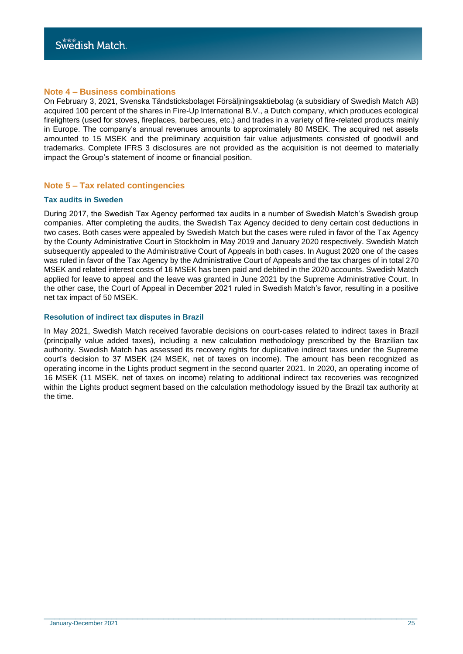## **Note 4 – Business combinations**

On February 3, 2021, Svenska Tändsticksbolaget Försäljningsaktiebolag (a subsidiary of Swedish Match AB) acquired 100 percent of the shares in Fire-Up International B.V., a Dutch company, which produces ecological firelighters (used for stoves, fireplaces, barbecues, etc.) and trades in a variety of fire-related products mainly in Europe. The company's annual revenues amounts to approximately 80 MSEK. The acquired net assets amounted to 15 MSEK and the preliminary acquisition fair value adjustments consisted of goodwill and trademarks. Complete IFRS 3 disclosures are not provided as the acquisition is not deemed to materially impact the Group's statement of income or financial position.

## **Note 5 – Tax related contingencies**

#### **Tax audits in Sweden**

During 2017, the Swedish Tax Agency performed tax audits in a number of Swedish Match's Swedish group companies. After completing the audits, the Swedish Tax Agency decided to deny certain cost deductions in two cases. Both cases were appealed by Swedish Match but the cases were ruled in favor of the Tax Agency by the County Administrative Court in Stockholm in May 2019 and January 2020 respectively. Swedish Match subsequently appealed to the Administrative Court of Appeals in both cases. In August 2020 one of the cases was ruled in favor of the Tax Agency by the Administrative Court of Appeals and the tax charges of in total 270 MSEK and related interest costs of 16 MSEK has been paid and debited in the 2020 accounts. Swedish Match applied for leave to appeal and the leave was granted in June 2021 by the Supreme Administrative Court. In the other case, the Court of Appeal in December 2021 ruled in Swedish Match's favor, resulting in a positive net tax impact of 50 MSEK.

## **Resolution of indirect tax disputes in Brazil**

In May 2021, Swedish Match received favorable decisions on court-cases related to indirect taxes in Brazil (principally value added taxes), including a new calculation methodology prescribed by the Brazilian tax authority. Swedish Match has assessed its recovery rights for duplicative indirect taxes under the Supreme court's decision to 37 MSEK (24 MSEK, net of taxes on income). The amount has been recognized as operating income in the Lights product segment in the second quarter 2021. In 2020, an operating income of 16 MSEK (11 MSEK, net of taxes on income) relating to additional indirect tax recoveries was recognized within the Lights product segment based on the calculation methodology issued by the Brazil tax authority at the time.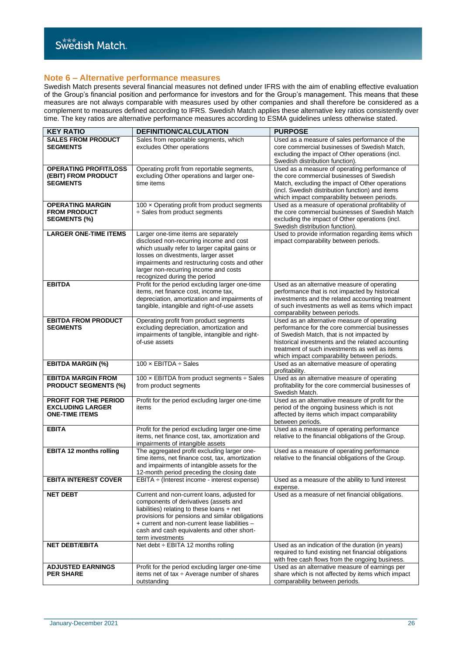### **Note 6 – Alternative performance measures**

Swedish Match presents several financial measures not defined under IFRS with the aim of enabling effective evaluation of the Group's financial position and performance for investors and for the Group's management. This means that these measures are not always comparable with measures used by other companies and shall therefore be considered as a complement to measures defined according to IFRS. Swedish Match applies these alternative key ratios consistently over time. The key ratios are alternative performance measures according to ESMA guidelines unless otherwise stated.

| <b>KEY RATIO</b>                                                                 | <b>DEFINITION/CALCULATION</b>                                                                                                                                                                                                                                                                            | <b>PURPOSE</b>                                                                                                                                                                                                                                                                                   |
|----------------------------------------------------------------------------------|----------------------------------------------------------------------------------------------------------------------------------------------------------------------------------------------------------------------------------------------------------------------------------------------------------|--------------------------------------------------------------------------------------------------------------------------------------------------------------------------------------------------------------------------------------------------------------------------------------------------|
| <b>SALES FROM PRODUCT</b><br><b>SEGMENTS</b>                                     | Sales from reportable segments, which<br>excludes Other operations                                                                                                                                                                                                                                       | Used as a measure of sales performance of the<br>core commercial businesses of Swedish Match,<br>excluding the impact of Other operations (incl.<br>Swedish distribution function).                                                                                                              |
| <b>OPERATING PROFIT/LOSS</b><br>(EBIT) FROM PRODUCT<br><b>SEGMENTS</b>           | Operating profit from reportable segments,<br>excluding Other operations and larger one-<br>time items                                                                                                                                                                                                   | Used as a measure of operating performance of<br>the core commercial businesses of Swedish<br>Match, excluding the impact of Other operations<br>(incl. Swedish distribution function) and items<br>which impact comparability between periods.                                                  |
| <b>OPERATING MARGIN</b><br><b>FROM PRODUCT</b><br><b>SEGMENTS (%)</b>            | 100 x Operating profit from product segments<br>$\div$ Sales from product segments                                                                                                                                                                                                                       | Used as a measure of operational profitability of<br>the core commercial businesses of Swedish Match<br>excluding the impact of Other operations (incl.<br>Swedish distribution function).                                                                                                       |
| <b>LARGER ONE-TIME ITEMS</b>                                                     | Larger one-time items are separately<br>disclosed non-recurring income and cost<br>which usually refer to larger capital gains or<br>losses on divestments, larger asset<br>impairments and restructuring costs and other<br>larger non-recurring income and costs<br>recognized during the period       | Used to provide information regarding items which<br>impact comparability between periods.                                                                                                                                                                                                       |
| <b>EBITDA</b>                                                                    | Profit for the period excluding larger one-time<br>items, net finance cost, income tax,<br>depreciation, amortization and impairments of<br>tangible, intangible and right-of-use assets                                                                                                                 | Used as an alternative measure of operating<br>performance that is not impacted by historical<br>investments and the related accounting treatment<br>of such investments as well as items which impact<br>comparability between periods.                                                         |
| <b>EBITDA FROM PRODUCT</b><br><b>SEGMENTS</b>                                    | Operating profit from product segments<br>excluding depreciation, amortization and<br>impairments of tangible, intangible and right-<br>of-use assets                                                                                                                                                    | Used as an alternative measure of operating<br>performance for the core commercial businesses<br>of Swedish Match, that is not impacted by<br>historical investments and the related accounting<br>treatment of such investments as well as items<br>which impact comparability between periods. |
| <b>EBITDA MARGIN (%)</b>                                                         | 100 $\times$ EBITDA $\div$ Sales                                                                                                                                                                                                                                                                         | Used as an alternative measure of operating<br>profitability.                                                                                                                                                                                                                                    |
| <b>EBITDA MARGIN FROM</b><br><b>PRODUCT SEGMENTS (%)</b>                         | 100 x EBITDA from product segments ÷ Sales<br>from product segments                                                                                                                                                                                                                                      | Used as an alternative measure of operating<br>profitability for the core commercial businesses of<br>Swedish Match.                                                                                                                                                                             |
| <b>PROFIT FOR THE PERIOD</b><br><b>EXCLUDING LARGER</b><br><b>ONE-TIME ITEMS</b> | Profit for the period excluding larger one-time<br>items                                                                                                                                                                                                                                                 | Used as an alternative measure of profit for the<br>period of the ongoing business which is not<br>affected by items which impact comparability<br>between periods.                                                                                                                              |
| <b>EBITA</b>                                                                     | Profit for the period excluding larger one-time<br>items, net finance cost, tax, amortization and<br>impairments of intangible assets                                                                                                                                                                    | Used as a measure of operating performance<br>relative to the financial obligations of the Group.                                                                                                                                                                                                |
| <b>EBITA 12 months rolling</b>                                                   | The aggregated profit excluding larger one-<br>time items, net finance cost, tax, amortization<br>and impairments of intangible assets for the<br>12-month period preceding the closing date                                                                                                             | Used as a measure of operating performance<br>relative to the financial obligations of the Group.                                                                                                                                                                                                |
| <b>EBITA INTEREST COVER</b>                                                      | $EBITA \div (Interest income - interest expense)$                                                                                                                                                                                                                                                        | Used as a measure of the ability to fund interest<br>expense.                                                                                                                                                                                                                                    |
| <b>NET DEBT</b>                                                                  | Current and non-current loans, adjusted for<br>components of derivatives (assets and<br>liabilities) relating to these loans + net<br>provisions for pensions and similar obligations<br>+ current and non-current lease liabilities -<br>cash and cash equivalents and other short-<br>term investments | Used as a measure of net financial obligations.                                                                                                                                                                                                                                                  |
| <b>NET DEBT/EBITA</b>                                                            | Net debt :- EBITA 12 months rolling                                                                                                                                                                                                                                                                      | Used as an indication of the duration (in years)<br>required to fund existing net financial obligations<br>with free cash flows from the ongoing business.                                                                                                                                       |
| <b>ADJUSTED EARNINGS</b><br><b>PER SHARE</b>                                     | Profit for the period excluding larger one-time<br>items net of tax $\div$ Average number of shares<br>outstanding                                                                                                                                                                                       | Used as an alternative measure of earnings per<br>share which is not affected by items which impact<br>comparability between periods.                                                                                                                                                            |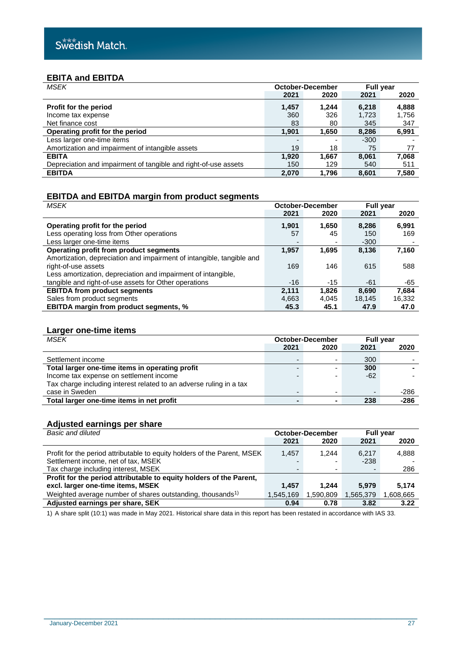## **EBITA and EBITDA**

| <b>MSEK</b>                                                     | October-December |       | <b>Full year</b> |       |  |
|-----------------------------------------------------------------|------------------|-------|------------------|-------|--|
|                                                                 | 2021             | 2020  | 2021             | 2020  |  |
| Profit for the period                                           | 1,457            | 1.244 | 6,218            | 4,888 |  |
| Income tax expense                                              | 360              | 326   | 1,723            | 1,756 |  |
| Net finance cost                                                | 83               | 80    | 345              | 347   |  |
| Operating profit for the period                                 | 1,901            | 1,650 | 8,286            | 6,991 |  |
| Less larger one-time items                                      |                  |       | $-300$           |       |  |
| Amortization and impairment of intangible assets                | 19               | 18    | 75               | 77    |  |
| <b>EBITA</b>                                                    | 1,920            | 1,667 | 8.061            | 7,068 |  |
| Depreciation and impairment of tangible and right-of-use assets | 150              | 129   | 540              | 511   |  |
| <b>EBITDA</b>                                                   | 2,070            | 1.796 | 8.601            | 7,580 |  |

## **EBITDA and EBITDA margin from product segments**

| <b>MSEK</b>                                                           | <b>October-December</b> |       | <b>Full year</b> |        |  |
|-----------------------------------------------------------------------|-------------------------|-------|------------------|--------|--|
|                                                                       | 2021                    | 2020  | 2021             | 2020   |  |
| Operating profit for the period                                       | 1,901                   | 1,650 | 8,286            | 6,991  |  |
| Less operating loss from Other operations                             | 57                      | 45    | 150              | 169    |  |
| Less larger one-time items                                            |                         | ۰     | $-300$           |        |  |
| Operating profit from product segments                                | 1,957                   | 1,695 | 8,136            | 7,160  |  |
| Amortization, depreciation and impairment of intangible, tangible and |                         |       |                  |        |  |
| right-of-use assets                                                   | 169                     | 146   | 615              | 588    |  |
| Less amortization, depreciation and impairment of intangible,         |                         |       |                  |        |  |
| tangible and right-of-use assets for Other operations                 | $-16$                   | $-15$ | -61              | -65    |  |
| <b>EBITDA from product segments</b>                                   | 2,111                   | 1.826 | 8,690            | 7,684  |  |
| Sales from product segments                                           | 4,663                   | 4,045 | 18,145           | 16,332 |  |
| <b>EBITDA margin from product segments, %</b>                         | 45.3                    | 45.1  | 47.9             | 47.0   |  |

## **Larger one-time items**

| <b>MSEK</b>                                                         |      | October-December         |       | <b>Full year</b> |  |  |
|---------------------------------------------------------------------|------|--------------------------|-------|------------------|--|--|
|                                                                     | 2021 | 2020                     | 2021  | 2020             |  |  |
| Settlement income                                                   |      | ۰                        | 300   |                  |  |  |
| Total larger one-time items in operating profit                     | -    | $\overline{\phantom{0}}$ | 300   |                  |  |  |
| Income tax expense on settlement income                             |      | $\overline{\phantom{0}}$ | $-62$ |                  |  |  |
| Tax charge including interest related to an adverse ruling in a tax |      |                          |       |                  |  |  |
| case in Sweden                                                      | -    | $\overline{\phantom{0}}$ |       | $-286$           |  |  |
| Total larger one-time items in net profit                           |      | $\blacksquare$           | 238   | $-286$           |  |  |

## **Adjusted earnings per share**

| Basic and diluted                                                        |           | October-December         | <b>Full year</b> |          |  |
|--------------------------------------------------------------------------|-----------|--------------------------|------------------|----------|--|
|                                                                          | 2021      | 2020                     | 2021             | 2020     |  |
| Profit for the period attributable to equity holders of the Parent, MSEK | 1.457     | 1.244                    | 6.217            | 4,888    |  |
| Settlement income, net of tax, MSEK                                      |           | $\overline{\phantom{0}}$ | $-238$           |          |  |
| Tax charge including interest, MSEK                                      | -         | -                        |                  | 286      |  |
| Profit for the period attributable to equity holders of the Parent,      |           |                          |                  |          |  |
| excl. larger one-time items, MSEK                                        | 1.457     | 1.244                    | 5.979            | 5.174    |  |
| Weighted average number of shares outstanding, thousands <sup>1)</sup>   | 1,545,169 | 1,590,809                | 1,565,379        | 808,665. |  |
| Adjusted earnings per share, SEK                                         | 0.94      | 0.78                     | 3.82             | 3.22     |  |

\_\_\_\_\_\_\_\_\_\_\_\_\_\_\_\_\_\_\_\_\_\_\_\_\_\_\_\_\_\_\_\_\_\_\_\_\_\_\_\_\_\_\_\_\_\_\_\_\_\_\_\_\_\_\_\_\_\_\_\_\_\_\_\_\_\_\_\_\_\_\_\_

1) A share split (10:1) was made in May 2021. Historical share data in this report has been restated in accordance with IAS 33.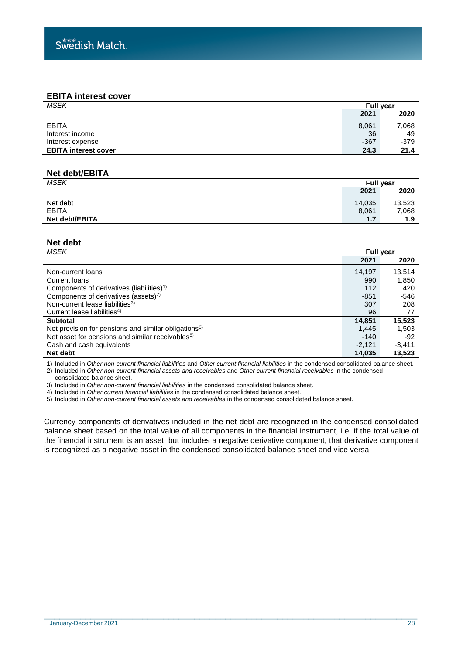## **EBITA interest cover**

| 2021<br><b>EBITA</b><br>8,061<br>36<br>Interest income |        |
|--------------------------------------------------------|--------|
|                                                        | 2020   |
|                                                        | 7,068  |
|                                                        | 49     |
| $-367$<br>Interest expense                             | $-379$ |
| <b>EBITA interest cover</b><br>24.3                    | 21.4   |

## **Net debt/EBITA**

| <b>MSEK</b>    | <b>Full year</b> |        |
|----------------|------------------|--------|
|                | 2021             | 2020   |
| Net debt       | 14,035           | 13,523 |
| <b>EBITA</b>   | 8,061            | 7,068  |
| Net debt/EBITA | 1.7              | 1.9    |

## **Net debt**

| <b>MSEK</b>                                                      | <b>Full year</b> |          |
|------------------------------------------------------------------|------------------|----------|
|                                                                  | 2021             | 2020     |
| Non-current loans                                                | 14,197           | 13,514   |
| Current loans                                                    | 990              | 1,850    |
| Components of derivatives (liabilities) <sup>1)</sup>            | 112              | 420      |
| Components of derivatives (assets) <sup>2)</sup>                 | $-851$           | $-546$   |
| Non-current lease liabilities <sup>3)</sup>                      | 307              | 208      |
| Current lease liabilities <sup>4)</sup>                          | 96               | 77       |
| <b>Subtotal</b>                                                  | 14,851           | 15,523   |
| Net provision for pensions and similar obligations <sup>3)</sup> | 1,445            | 1,503    |
| Net asset for pensions and similar receivables <sup>5)</sup>     | $-140$           | $-92$    |
| Cash and cash equivalents                                        | $-2,121$         | $-3,411$ |
| Net debt                                                         | 14.035           | 13,523   |

1) Included in *Other non-current financial liabilities* and *Other current financial liabilities* in the condensed consolidated balance sheet. 2) Included in *Other non-current financial assets and receivables* and *Other current financial receivables* in the condensed

consolidated balance sheet.

3) Included in *Other non-current financial liabilities* in the condensed consolidated balance sheet.

4) Included in *Other current financial liabilities* in the condensed consolidated balance sheet.

5) Included in *Other non-current financial assets and receivables* in the condensed consolidated balance sheet.

Currency components of derivatives included in the net debt are recognized in the condensed consolidated balance sheet based on the total value of all components in the financial instrument, i.e. if the total value of the financial instrument is an asset, but includes a negative derivative component, that derivative component is recognized as a negative asset in the condensed consolidated balance sheet and vice versa.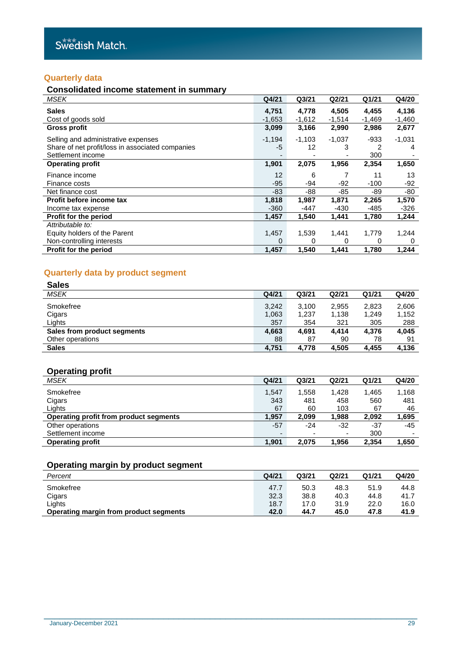## **Quarterly data**

## **Consolidated income statement in summary**

| <b>MSEK</b>                                                                                                  | Q4/21             | Q <sub>3</sub> /21 | Q2/21              | Q1/21             | Q4/20             |
|--------------------------------------------------------------------------------------------------------------|-------------------|--------------------|--------------------|-------------------|-------------------|
| <b>Sales</b><br>Cost of goods sold                                                                           | 4,751<br>$-1,653$ | 4,778<br>$-1,612$  | 4,505<br>$-1,514$  | 4,455<br>$-1,469$ | 4,136<br>$-1,460$ |
| <b>Gross profit</b>                                                                                          | 3,099             | 3,166              | 2,990              | 2,986             | 2,677             |
| Selling and administrative expenses<br>Share of net profit/loss in associated companies<br>Settlement income | $-1,194$<br>$-5$  | $-1,103$<br>12     | $-1,037$<br>3<br>۰ | -933<br>2<br>300  | $-1,031$<br>4     |
| <b>Operating profit</b>                                                                                      | 1,901             | 2,075              | 1,956              | 2,354             | 1,650             |
| Finance income<br>Finance costs                                                                              | 12<br>$-95$       | 6<br>-94           | -92                | 11<br>$-100$      | 13<br>-92         |
| Net finance cost                                                                                             | -83               | -88                | -85                | -89               | -80               |
| Profit before income tax                                                                                     | 1,818             | 1,987              | 1,871              | 2,265             | 1,570             |
| Income tax expense                                                                                           | $-360$            | -447               | $-430$             | $-485$            | $-326$            |
| <b>Profit for the period</b>                                                                                 | 1,457             | 1,540              | 1,441              | 1,780             | 1,244             |
| Attributable to:                                                                                             |                   |                    |                    |                   |                   |
| Equity holders of the Parent                                                                                 | 1,457             | 1,539              | 1,441              | 1,779             | 1,244             |
| Non-controlling interests                                                                                    | 0                 | ∩                  | 0                  | 0                 | 0                 |
| Profit for the period                                                                                        | 1,457             | 1,540              | 1,441              | 1,780             | 1,244             |

## **Quarterly data by product segment**

| <b>Sales</b>                |       |                   |       |       |       |
|-----------------------------|-------|-------------------|-------|-------|-------|
| <b>MSEK</b>                 | Q4/21 | Q <sub>3/21</sub> | Q2/21 | Q1/21 | Q4/20 |
| Smokefree                   | 3,242 | 3.100             | 2,955 | 2,823 | 2,606 |
| Cigars                      | 1,063 | 1,237             | 1,138 | 1,249 | 1,152 |
| Lights                      | 357   | 354               | 321   | 305   | 288   |
| Sales from product segments | 4,663 | 4.691             | 4.414 | 4,376 | 4.045 |
| Other operations            | 88    | 87                | 90    | 78    | 91    |
| <b>Sales</b>                | 4.751 | 4.778             | 4.505 | 4.455 | 4,136 |

## **Operating profit**

| MSEK                                   | Q4/21                    | Q <sub>3/21</sub> | Q2/21                    | Q1/21 | Q4/20 |
|----------------------------------------|--------------------------|-------------------|--------------------------|-------|-------|
| Smokefree                              | 1,547                    | 1.558             | 1,428                    | 1,465 | 1,168 |
| Cigars                                 | 343                      | 481               | 458                      | 560   | 481   |
| Liahts                                 | 67                       | 60                | 103                      | 67    | 46    |
| Operating profit from product segments | 1.957                    | 2.099             | 1,988                    | 2,092 | 1,695 |
| Other operations                       | -57                      | -24               | -32                      | -37   | -45   |
| Settlement income                      | $\overline{\phantom{0}}$ |                   | $\overline{\phantom{0}}$ | 300   |       |
| <b>Operating profit</b>                | 1.901                    | 2.075             | 1.956                    | 2.354 | 1.650 |

## **Operating margin by product segment**

| Percent                                | Q4/21 | Q3/21 | Q2/21 | Q1/21 | Q4/20 |
|----------------------------------------|-------|-------|-------|-------|-------|
| Smokefree                              | 47.7  | 50.3  | 48.3  | 51.9  | 44.8  |
| Cigars                                 | 32.3  | 38.8  | 40.3  | 44.8  | 41.7  |
| ∟ights                                 | 18.7  | 17.0  | 31.9  | 22.0  | 16.0  |
| Operating margin from product segments | 42.0  | 44.7  | 45.0  | 47.8  | 41.9  |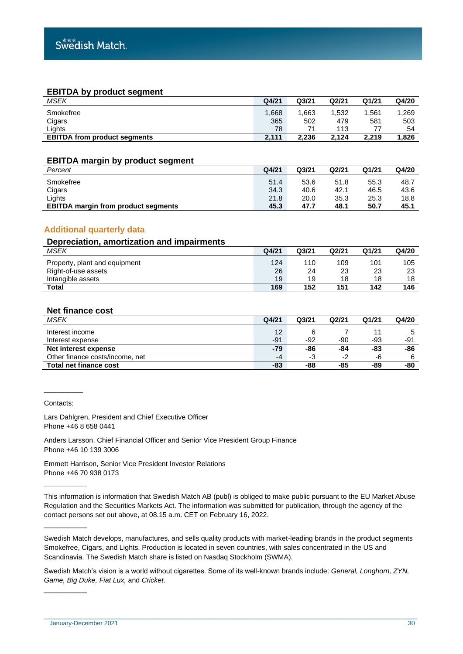## **EBITDA by product segment**

| <b>MSEK</b>                         | Q4/21 | Q3/21 | Q2/21 | Q1/21 | Q4/20 |
|-------------------------------------|-------|-------|-------|-------|-------|
| Smokefree                           | .668  | 1.663 | .532  | 1.561 | 1.269 |
| Cigars                              | 365   | 502   | 479   | 581   | 503   |
| ∟ights                              | 78    | 71    | 113   |       | 54    |
| <b>EBITDA from product segments</b> | 2.111 | 2.236 | 2.124 | 2.219 | 1,826 |

#### **EBITDA margin by product segment**

| Percent                                    | Q4/21 | Q <sub>3/21</sub> | Q <sub>2</sub> /21 | Q1/21 | Q4/20 |
|--------------------------------------------|-------|-------------------|--------------------|-------|-------|
| Smokefree                                  | 51.4  | 53.6              | 51.8               | 55.3  | 48.7  |
| Cigars                                     | 34.3  | 40.6              | 42.1               | 46.5  | 43.6  |
| Lights                                     | 21.8  | 20.0              | 35.3               | 25.3  | 18.8  |
| <b>EBITDA margin from product segments</b> | 45.3  | 47.7              | 48.1               | 50.7  | 45.1  |

## **Additional quarterly data**

## **Depreciation, amortization and impairments** *MSEK* **Q4/21 Q3/21 Q2/21 Q1/21 Q4/20** Property, plant and equipment 124 110 109 101 105 Right-of-use assets 26 24 23 23 23 Intangible assets **Total 169 152 151 142 146**

## **Net finance cost**

| <b>MSEK</b>                     | Q4/21 | Q <sub>3</sub> /21 | Q2/21 | Q1/21 | Q4/20 |
|---------------------------------|-------|--------------------|-------|-------|-------|
| Interest income                 | 12    |                    |       |       |       |
| Interest expense                | $-91$ | -92                | -90   | -93   | -91   |
| Net interest expense            | -79   | -86                | -84   | -83   | -86   |
| Other finance costs/income, net | -4    | -3                 | -2    | -6    | 6     |
| <b>Total net finance cost</b>   | -83   | -88                | -85   | -89   | -80   |

Contacts:

 $\overline{\phantom{a}}$  . The contract of the contract of the contract of the contract of the contract of the contract of the contract of the contract of the contract of the contract of the contract of the contract of the contract of

\_\_\_\_\_\_\_\_\_\_\_

\_\_\_\_\_\_\_\_\_\_\_

\_\_\_\_\_\_\_\_\_\_\_

Lars Dahlgren, President and Chief Executive Officer Phone +46 8 658 0441

Anders Larsson, Chief Financial Officer and Senior Vice President Group Finance Phone +46 10 139 3006

Emmett Harrison, Senior Vice President Investor Relations Phone +46 70 938 0173

This information is information that Swedish Match AB (publ) is obliged to make public pursuant to the EU Market Abuse Regulation and the Securities Markets Act. The information was submitted for publication, through the agency of the contact persons set out above, at 08.15 a.m. CET on February 16, 2022.

Swedish Match develops, manufactures, and sells quality products with market-leading brands in the product segments Smokefree, Cigars, and Lights. Production is located in seven countries, with sales concentrated in the US and Scandinavia. The Swedish Match share is listed on Nasdaq Stockholm (SWMA).

Swedish Match's vision is a world without cigarettes. Some of its well-known brands include: *General, Longhorn, ZYN, Game, Big Duke, Fiat Lux,* and *Cricket*.